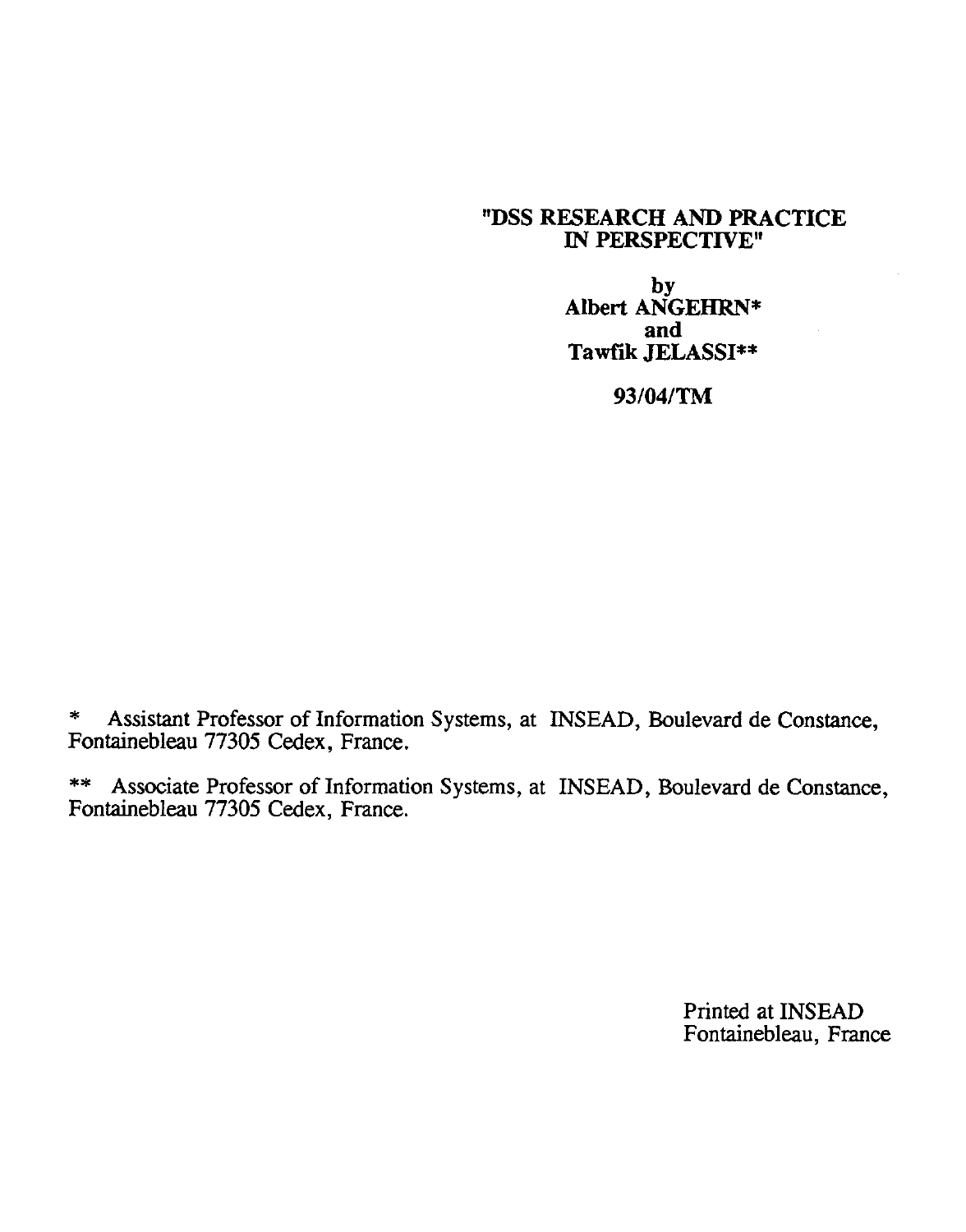## **"DSS RESEARCH AND PRACTICE IN PERSPECTIVE"**

**by Albert ANGEHRN\* and Tawfik JELASSI\*\***

**93/04/TM**

\* Assistant Professor of Information Systems, at INSEAD, Boulevard de Constance, Fontainebleau 77305 Cedex, France.

\*\* Associate Professor of Information Systems, at INSEAD, Boulevard de Constance, Fontainebleau 77305 Cedex, France.

> Printed at INSEAD Fontainebleau, France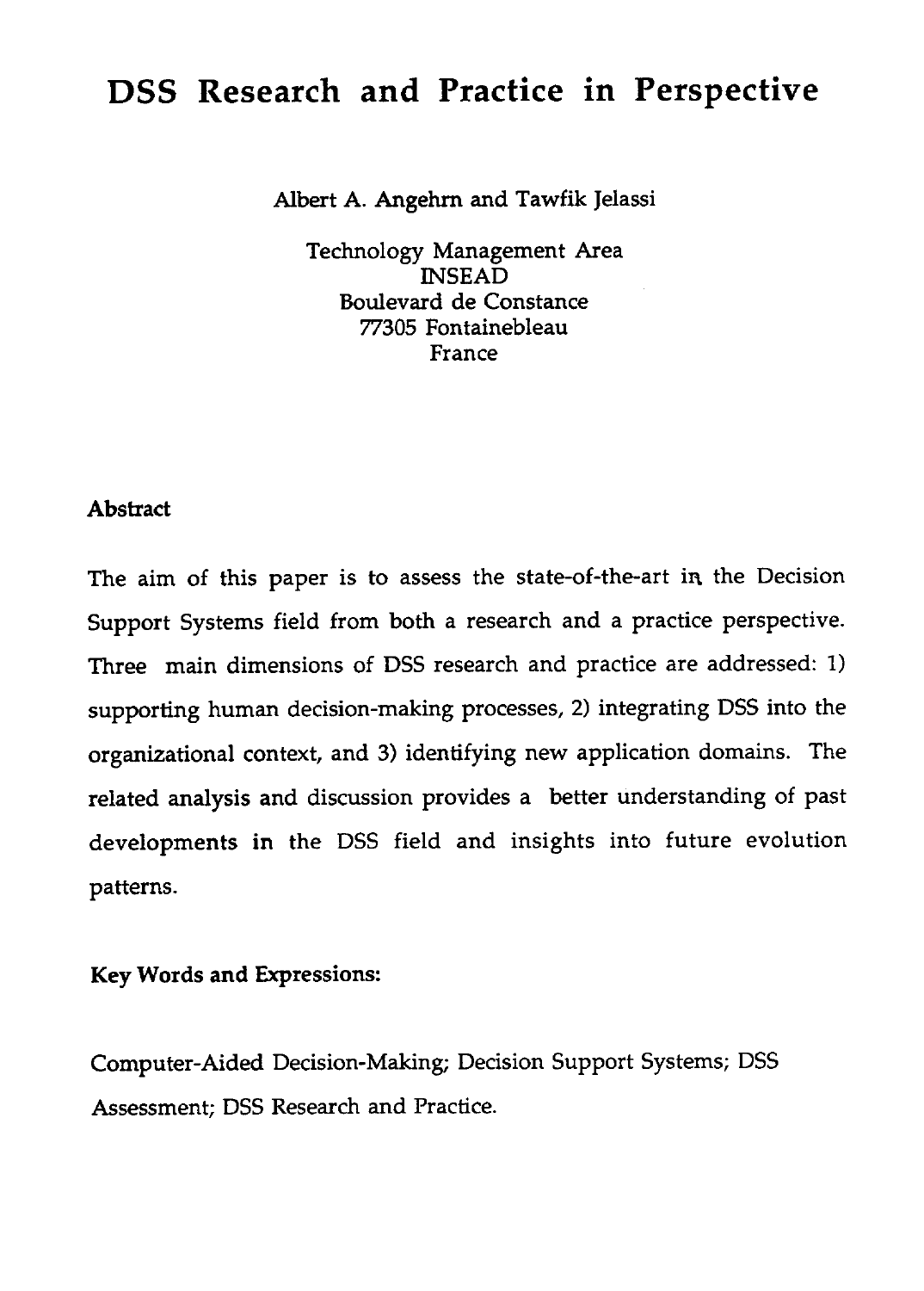## DSS Research and Practice in Perspective

Albert A. Angehrn and Tawfik Jelassi

Technology Management Area INSEAD Boulevard de Constance 77305 Fontainebleau France

## **Abstract**

The aim of this paper is to assess the state-of-the-art in the Decision Support Systems field from both a research and a practice perspective. Three main dimensions of DSS research and practice are addressed: 1) supporting human decision-making processes, 2) integrating DSS into the organizational context, and 3) identifying new application domains. The related analysis and discussion provides a better understanding of past developments in the DSS field and insights into future evolution patterns.

## Key Words and Expressions:

Computer-Aided Decision-Making; Decision Support Systems; DSS Assessment; DSS Research and Practice.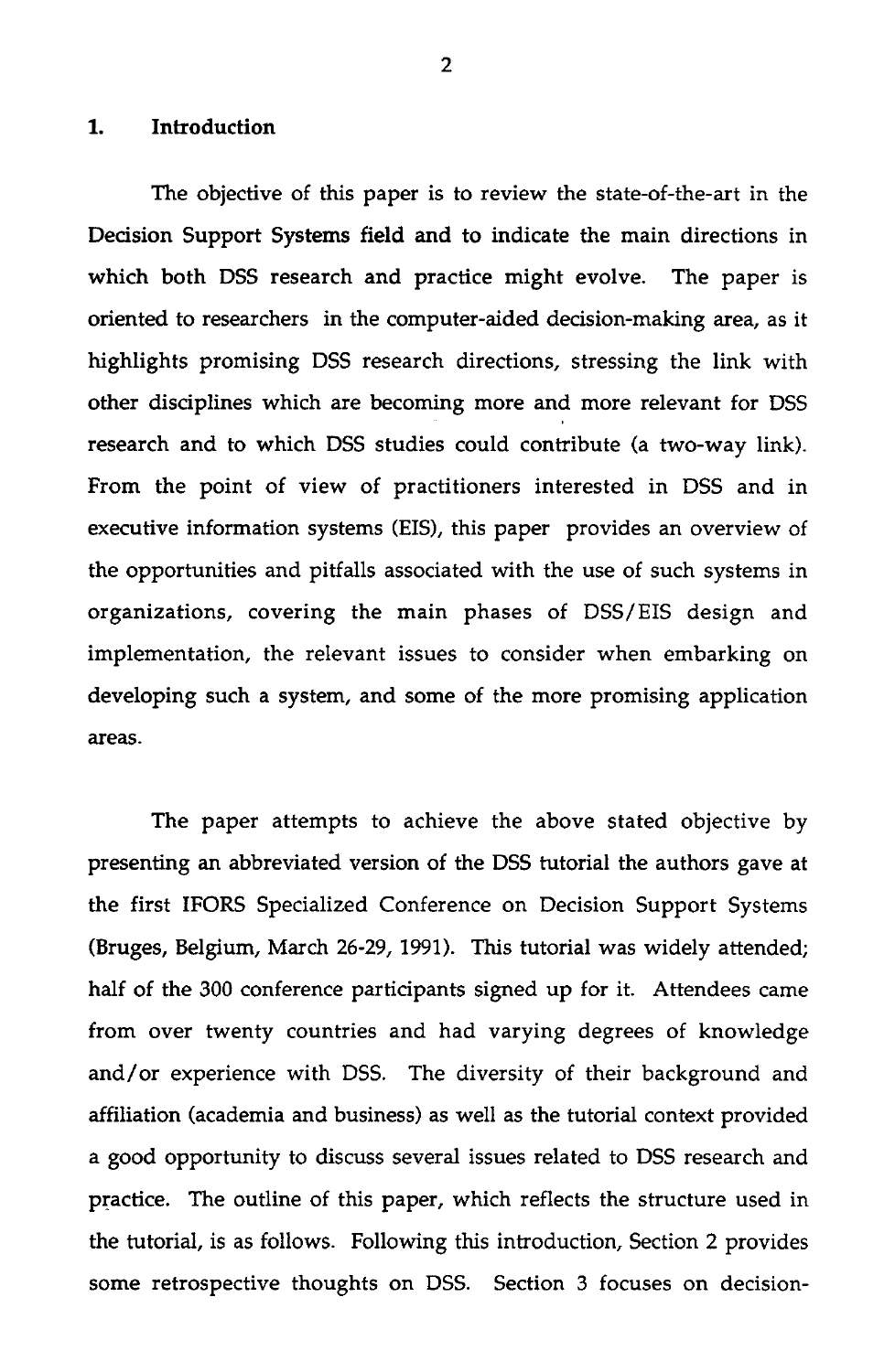**1.** Introduction<br>The objective The objective of this paper is to review the state-of-the-art in the Decision Support Systems field and to indicate the main directions in which both DSS research and practice might evolve. The paper is oriented to researchers in the computer-aided decision-making area, as it highlights promising DSS research directions, stressing the link with other disciplines which are becoming more and more relevant for DSS research and to which DSS studies could contribute (a two-way link). From the point of view of practitioners interested in DSS and in executive information systems (EIS), this paper provides an overview of the opportunities and pitfalls associated with the use of such systems in organizations, covering the main phases of DSS/EIS design and implementation, the relevant issues to consider when embarking on developing such a system, and some of the more promising application areas.

The paper attempts to achieve the above stated objective by presenting an abbreviated version of the DSS tutorial the authors gave at the first IFORS Specialized Conference on Decision Support Systems (Bruges, Belgium, March 26-29, 1991). This tutorial was widely attended; half of the 300 conference participants signed up for it. Attendees came from over twenty countries and had varying degrees of knowledge and/or experience with DSS. The diversity of their background and affiliation (academia and business) as well as the tutorial context provided a good opportunity to discuss several issues related to DSS research and practice. The outline of this paper, which reflects the structure used in the tutorial, is as follows. Following this introduction, Section 2 provides some retrospective thoughts on DSS. Section 3 focuses on decision-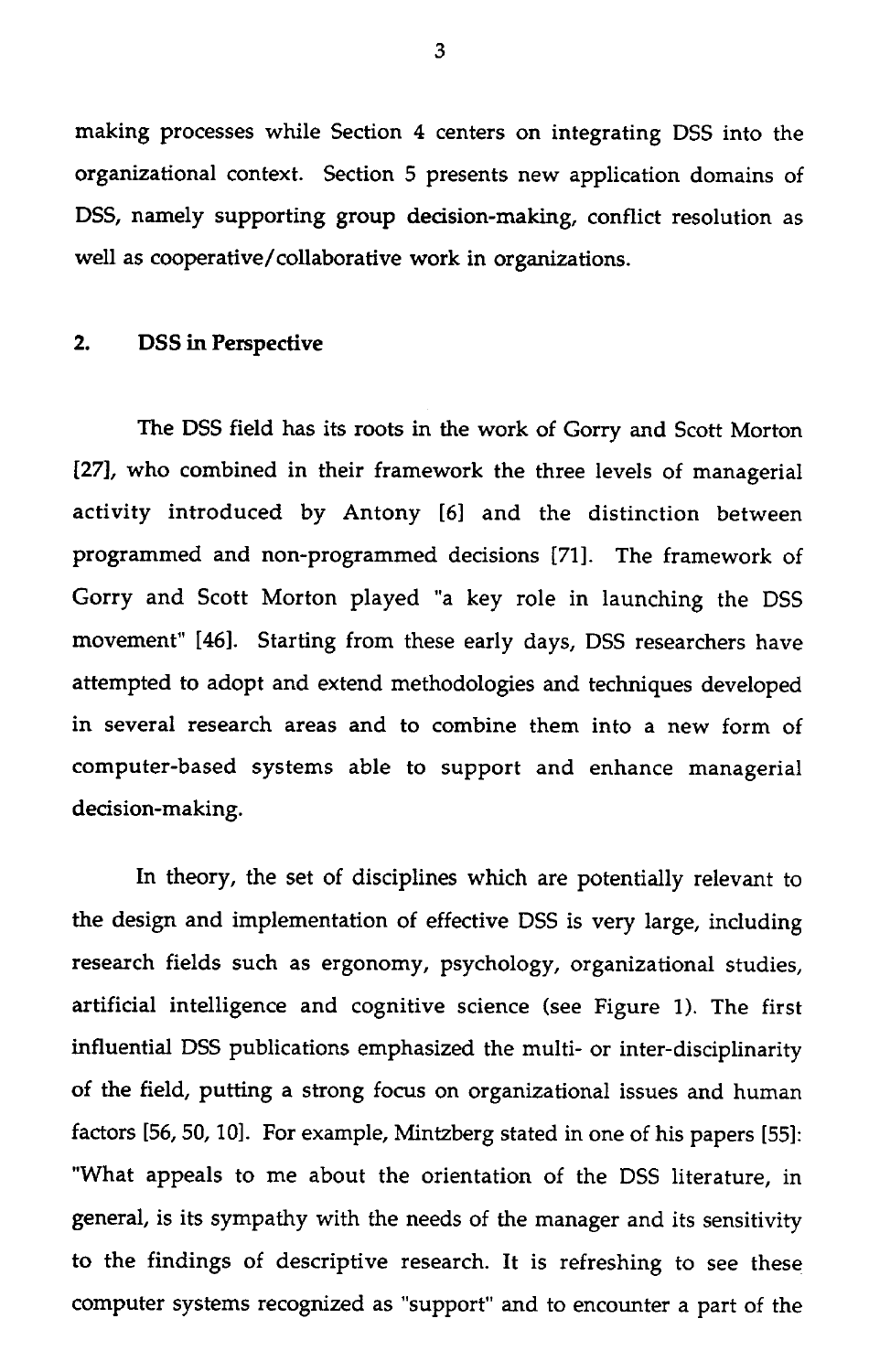making processes while Section 4 centers on integrating DSS into the organizational context. Section 5 presents new application domains of DSS, namely supporting group decision-making, conflict resolution as well as cooperative/collaborative work in organizations. making processes while<br>organizational context.<br>DSS, namely supporting<br>well as cooperative/colla<br>2. DSS in Perspective

The DSS field has its roots in the work of Gorry and Scott Morton [27], who combined in their framework the three levels of managerial activity introduced by Antony [6] and the distinction between programmed and non-programmed decisions [71]. The framework of Gorry and Scott Morton played "a key role in launching the DSS movement" [46]. Starting from these early days, DSS researchers have attempted to adopt and extend methodologies and techniques developed in several research areas and to combine them into a new form of computer-based systems able to support and enhance managerial decision-making.

In theory, the set of disciplines which are potentially relevant to the design and implementation of effective DSS is very large, including research fields such as ergonomy, psychology, organizational studies, artificial intelligence and cognitive science (see Figure 1). The first influential DSS publications emphasized the multi- or inter-disciplinarity of the field, putting a strong focus on organizational issues and human factors [56, 50, 10]. For example, Mintzberg stated in one of his papers [55]: "What appeals to me about the orientation of the DSS literature, in general, is its sympathy with the needs of the manager and its sensitivity to the findings of descriptive research. It is refreshing to see these computer systems recognized as "support" and to encounter a part of the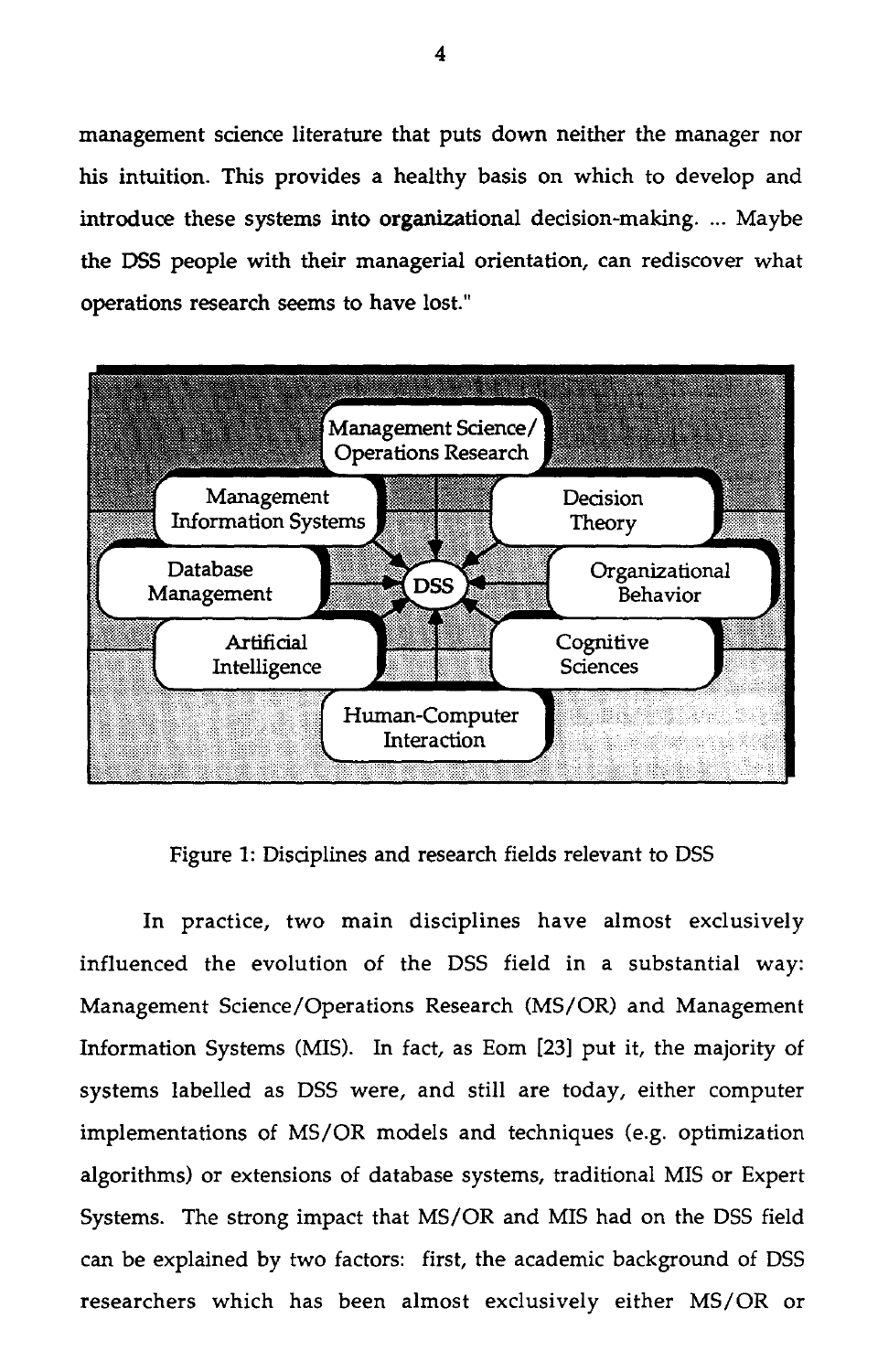management science literature that puts down neither the manager nor his intuition. This provides a healthy basis on which to develop and introduce these systems into organizational decision-making. ... Maybe the DSS people with their managerial orientation, can rediscover what operations research seems to have lost."



Figure 1: Disciplines and research fields relevant to DSS

In practice, two main disciplines have almost exclusively influenced the evolution of the DSS field in a substantial way: Management Science/Operations Research (MS/OR) and Management Information Systems (MIS). In fact, as Eom [23] put it, the majority of systems labelled as DSS were, and still are today, either computer implementations of MS/OR models and techniques (e.g. optimization algorithms) or extensions of database systems, traditional MIS or Expert Systems. The strong impact that MS/OR and MIS had on the DSS field can be explained by two factors: first, the academic background of DSS researchers which has been almost exclusively either MS/OR or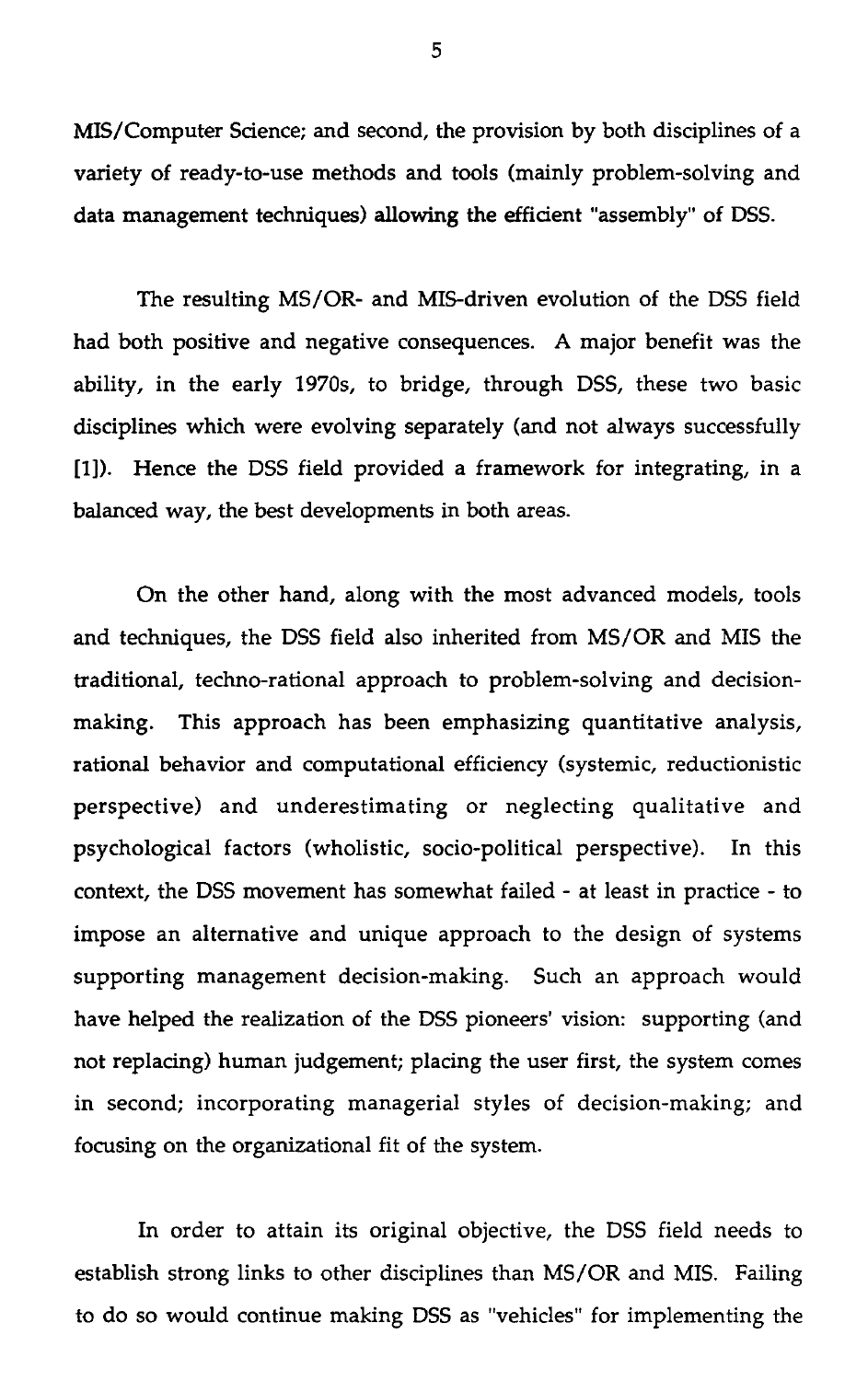MIS/Computer Science; and second, the provision by both disciplines of a variety of ready-to-use methods and tools (mainly problem-solving and data management techniques) allowing the efficient "assembly" of DSS.

The resulting MS/OR- and MIS-driven evolution of the DSS field had both positive and negative consequences. A major benefit was the ability, in the early 1970s, to bridge, through DSS, these two basic disciplines which were evolving separately (and not always successfully [1]). Hence the DSS field provided a framework for integrating, in a balanced way, the best developments in both areas.

On the other hand, along with the most advanced models, tools and techniques, the DSS field also inherited from MS/OR and MIS the traditional, techno-rational approach to problem-solving and decisionmaking. This approach has been emphasizing quantitative analysis, rational behavior and computational efficiency (systemic, reductionistic perspective) and underestimating or neglecting qualitative and psychological factors (wholistic, socio-political perspective). In this context, the DSS movement has somewhat failed - at least in practice - to impose an alternative and unique approach to the design of systems supporting management decision-making. Such an approach would have helped the realization of the DSS pioneers' vision: supporting (and not replacing) human judgement; placing the user first, the system comes in second; incorporating managerial styles of decision-making; and focusing on the organizational fit of the system.

In order to attain its original objective, the DSS field needs to establish strong links to other disciplines than MS/OR and MIS. Failing to do so would continue making DSS as "vehicles" for implementing the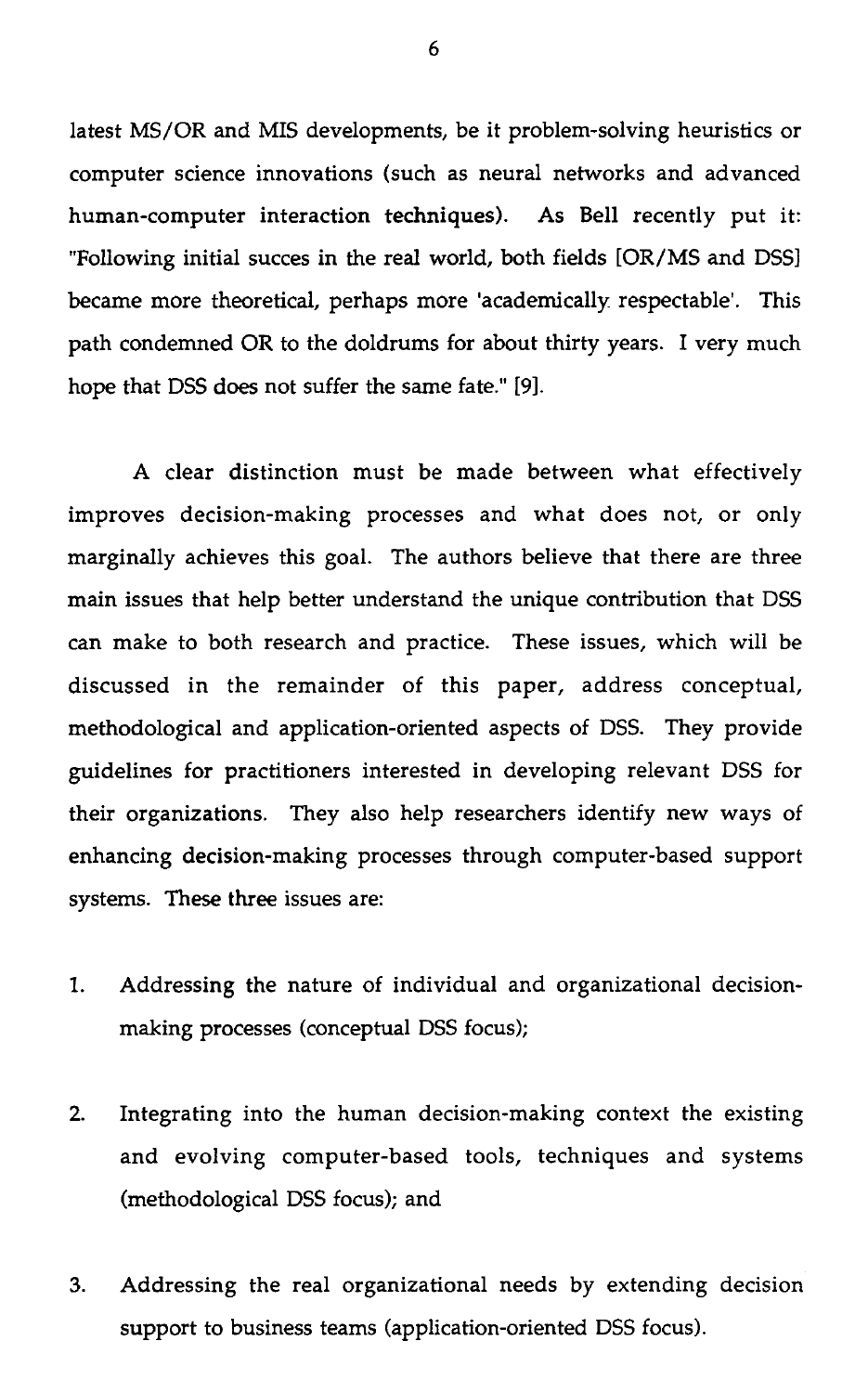latest MS/OR and MIS developments, be it problem-solving heuristics or computer science innovations (such as neural networks and advanced human-computer interaction techniques). As Bell recently put it: "Following initial succes in the real world, both fields [OR/MS and DSS] became more theoretical, perhaps more 'academically respectable'. This path condemned OR to the doldrums for about thirty years. I very much hope that DSS does not suffer the same fate." [9].

A clear distinction must be made between what effectively improves decision-making processes and what does not, or only marginally achieves this goal. The authors believe that there are three main issues that help better understand the unique contribution that DSS can make to both research and practice. These issues, which will be discussed in the remainder of this paper, address conceptual, methodological and application-oriented aspects of DSS. They provide guidelines for practitioners interested in developing relevant DSS for their organizations. They also help researchers identify new ways of enhancing decision-making processes through computer-based support systems. These three issues are:

- 1. Addressing the nature of individual and organizational decisionmaking processes (conceptual DSS focus);
- 2. Integrating into the human decision-making context the existing and evolving computer-based tools, techniques and systems (methodological DSS focus); and
- 3. Addressing the real organizational needs by extending decision support to business teams (application-oriented DSS focus).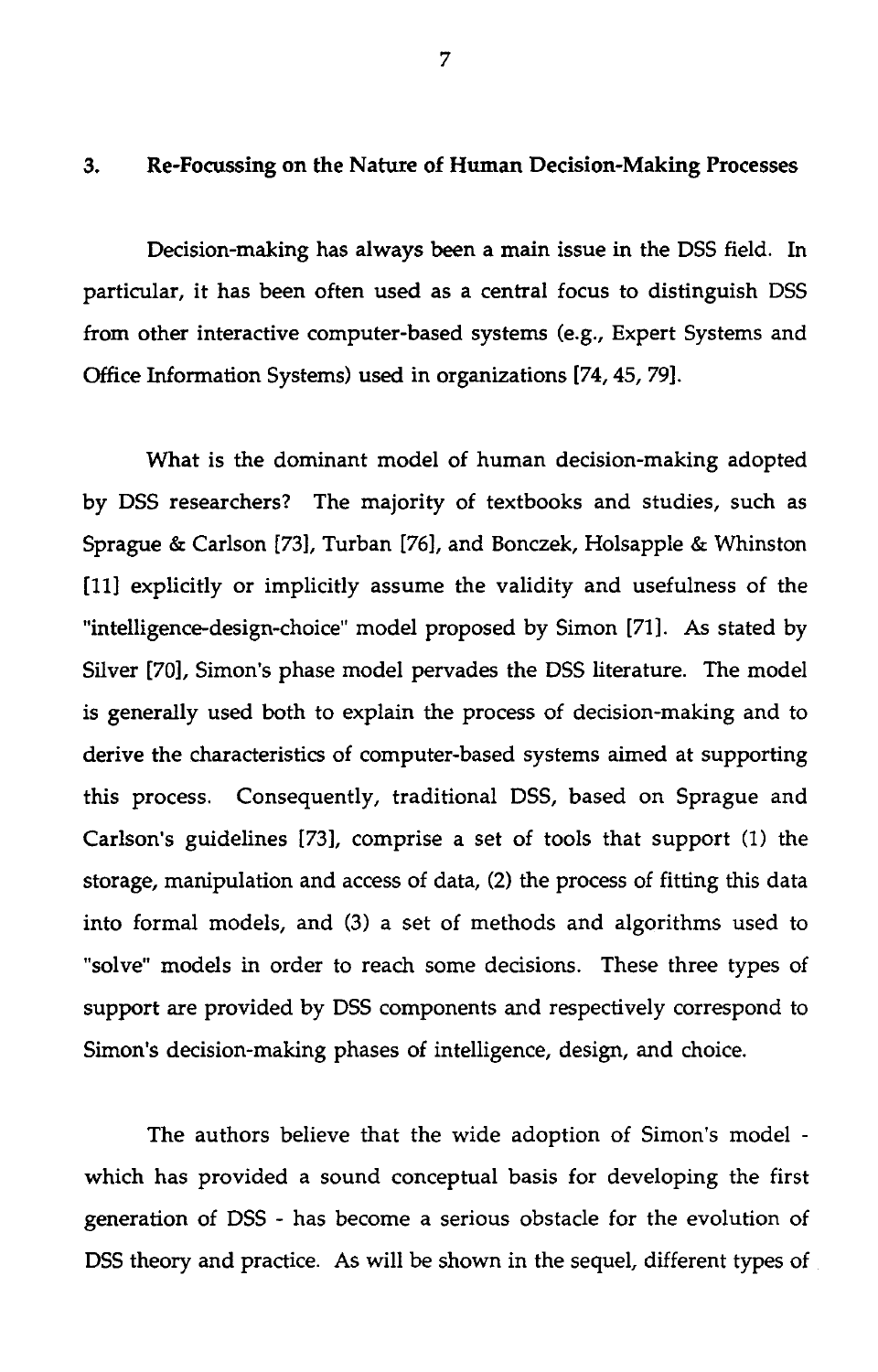# 7<br>3. Re-Focussing on the Nature of Human Decision-Making Processes<br>Decision-making has always been a main issue in the DSS field. I

Decision-making has always been a main issue in the DSS field. In particular, it has been often used as a central focus to distinguish DSS from other interactive computer-based systems (e.g., Expert Systems and Office Information Systems) used in organizations [74, 45, 79].

What is the dominant model of human decision-making adopted by DSS researchers? The majority of textbooks and studies, such as Sprague & Carlson [73], Turban [76], and Bonczek, Holsapple & Whinston [11] explicitly or implicitly assume the validity and usefulness of the "intelligence-design-choice" model proposed by Simon [71]. As stated by Silver [70], Simon's phase model pervades the DSS literature. The model is generally used both to explain the process of decision-making and to derive the characteristics of computer-based systems aimed at supporting this process. Consequently, traditional DSS, based on Sprague and Carlson's guidelines [73], comprise a set of tools that support (1) the storage, manipulation and access of data, (2) the process of fitting this data into formal models, and (3) a set of methods and algorithms used to "solve" models in order to reach some decisions. These three types of support are provided by DSS components and respectively correspond to Simon's decision-making phases of intelligence, design, and choice.

The authors believe that the wide adoption of Simon's model which has provided a sound conceptual basis for developing the first generation of DSS - has become a serious obstacle for the evolution of DSS theory and practice. As will be shown in the sequel, different types of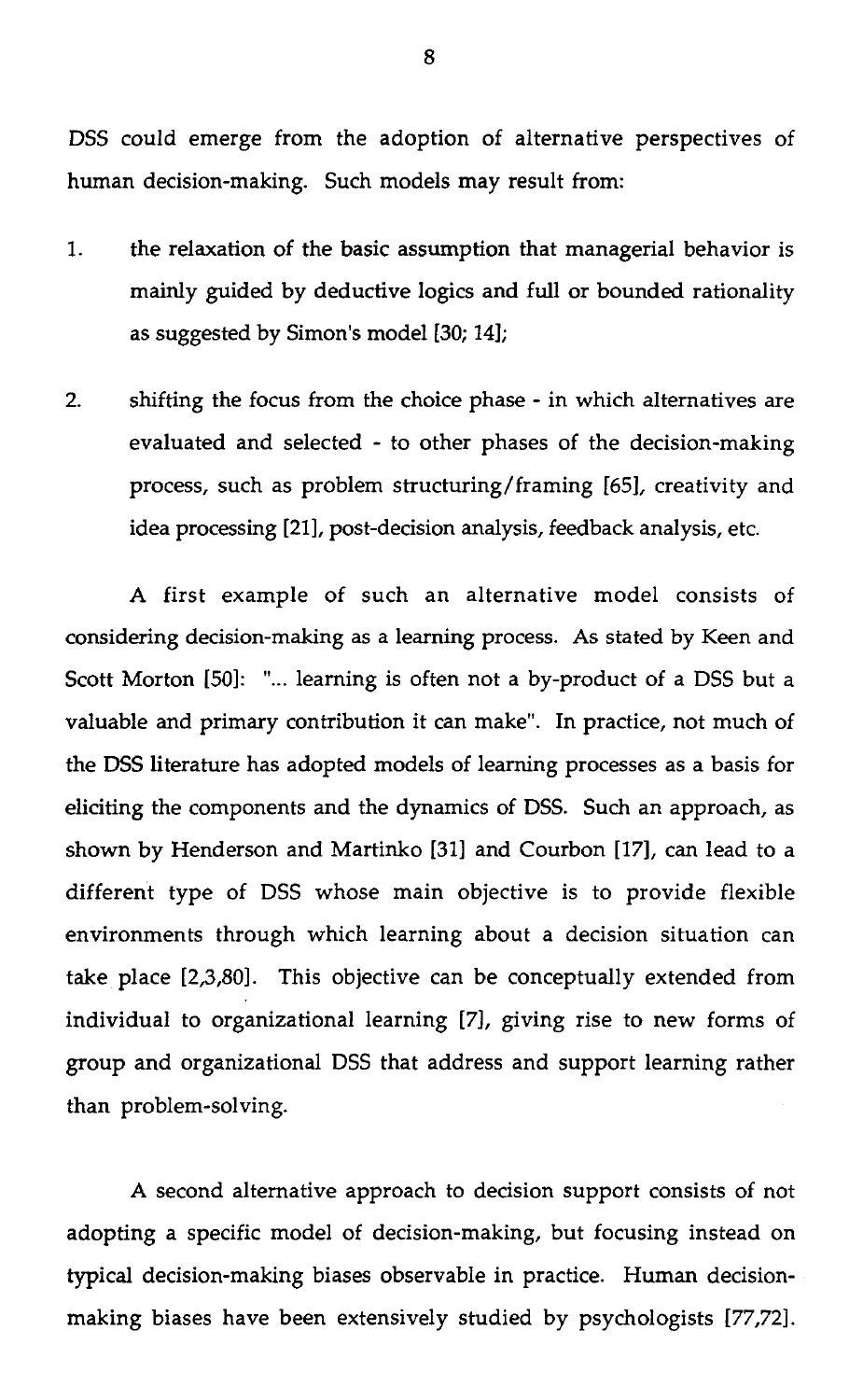DSS could emerge from the adoption of alternative perspectives of human decision-making. Such models may result from:

- 1. the relaxation of the basic assumption that managerial behavior is mainly guided by deductive logics and full or bounded rationality as suggested by Simon's model [30; 14];
- 2. shifting the focus from the choice phase in which alternatives are evaluated and selected - to other phases of the decision-making process, such as problem structuring/framing [65], creativity and idea processing [21], post-decision analysis, feedback analysis, etc.

A first example of such an alternative model consists of considering decision-making as a learning process. As stated by Keen and Scott Morton [50]: "... learning is often not a by-product of a DSS but a valuable and primary contribution it can make". In practice, not much of the DSS literature has adopted models of learning processes as a basis for eliciting the components and the dynamics of DSS. Such an approach, as shown by Henderson and Martinko [31] and Courbon [17], can lead to a different type of DSS whose main objective is to provide flexible environments through which learning about a decision situation can take place [2,3,80]. This objective can be conceptually extended from , individual to organizational learning [7], giving rise to new forms of group and organizational DSS that address and support learning rather than problem-solving.

A second alternative approach to decision support consists of not adopting a specific model of decision-making, but focusing instead on typical decision-making biases observable in practice. Human decisionmaking biases have been extensively studied by psychologists [77,72].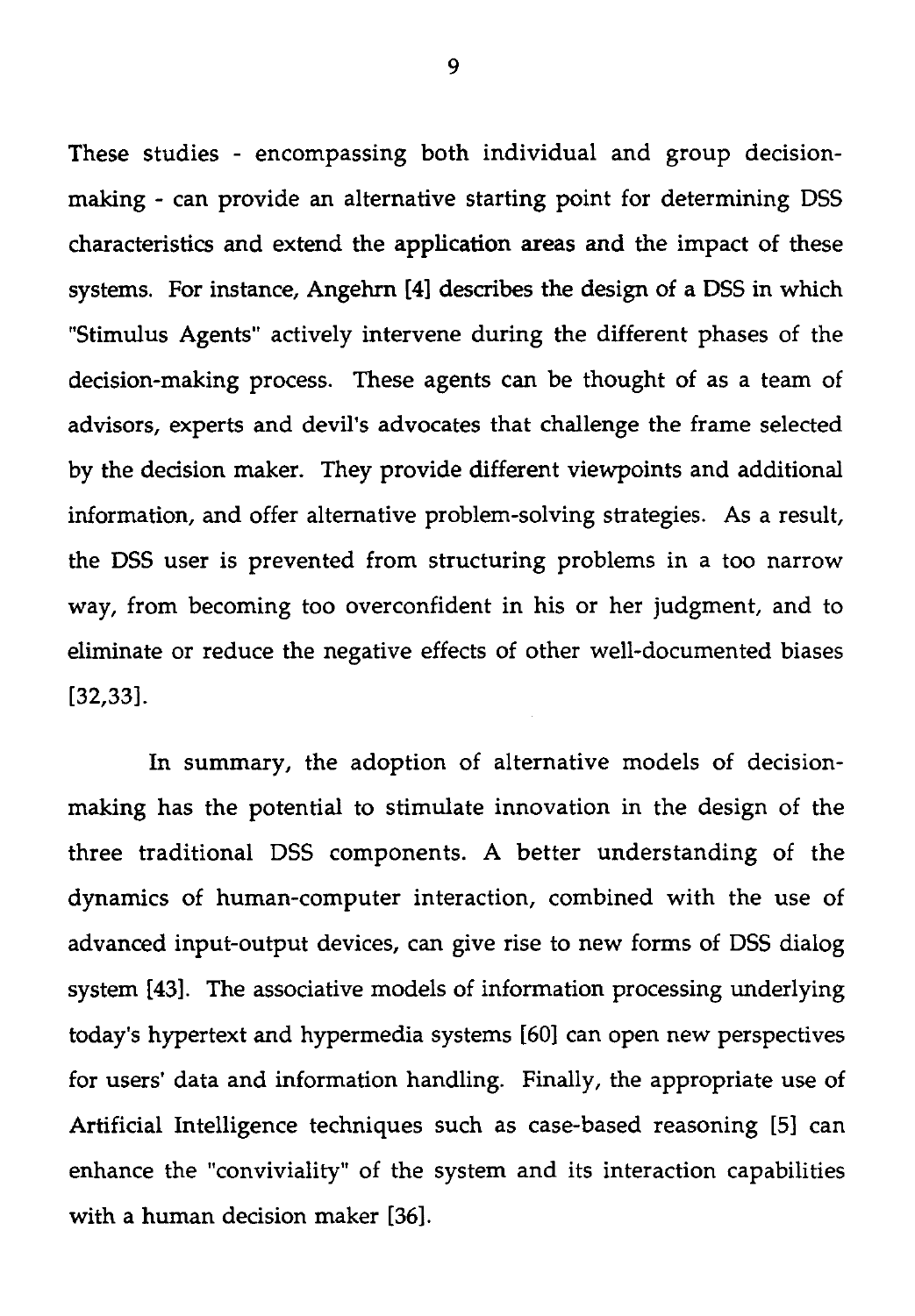These studies - encompassing both individual and group decisionmaking - can provide an alternative starting point for determining DSS characteristics and extend the application areas and the impact of these systems. For instance, Angehrn [4] describes the design of a DSS in which "Stimulus Agents" actively intervene during the different phases of the decision-making process. These agents can be thought of as a team of advisors, experts and devil's advocates that challenge the frame selected by the decision maker. They provide different viewpoints and additional information, and offer alternative problem-solving strategies. As a result, the DSS user is prevented from structuring problems in a too narrow way, from becoming too overconfident in his or her judgment, and to eliminate or reduce the negative effects of other well-documented biases [32,33].

In summary, the adoption of alternative models of decisionmaking has the potential to stimulate innovation in the design of the three traditional DSS components. A better understanding of the dynamics of human-computer interaction, combined with the use of advanced input-output devices, can give rise to new forms of DSS dialog system [43]. The associative models of information processing underlying today's hypertext and hypermedia systems [60] can open new perspectives for users' data and information handling. Finally, the appropriate use of Artificial Intelligence techniques such as case-based reasoning [5] can enhance the "conviviality" of the system and its interaction capabilities with a human decision maker [36].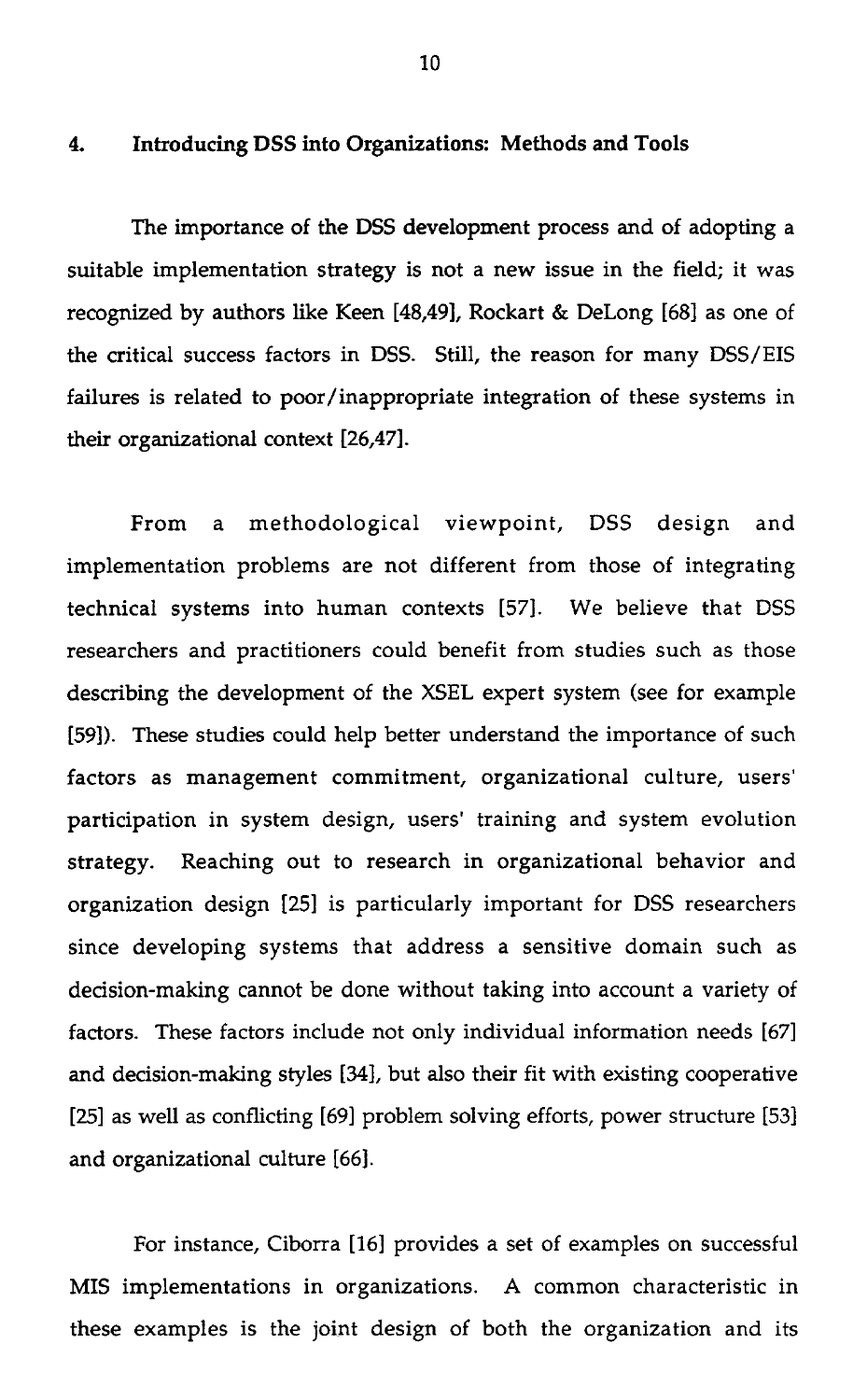# 10<br>4. Introducing DSS into Organizations: Methods and Tools<br>The importance of the DSS development process and of

The importance of the DSS development process and of adopting a suitable implementation strategy is not a new issue in the field; it was recognized by authors like Keen [48,49], Rockart & DeLong [68] as one of the critical success factors in DSS. Still, the reason for many DSS/EIS failures is related to poor/inappropriate integration of these systems in their organizational context [26,47].

From a methodological viewpoint, DSS design and implementation problems are not different from those of integrating technical systems into human contexts [57]. We believe that DSS researchers and practitioners could benefit from studies such as those describing the development of the XSEL expert system (see for example [59]). These studies could help better understand the importance of such factors as management commitment, organizational culture, users' participation in system design, users' training and system evolution strategy. Reaching out to research in organizational behavior and organization design [25] is particularly important for DSS researchers since developing systems that address a sensitive domain such as decision-making cannot be done without taking into account a variety of factors. These factors include not only individual information needs [67] and decision-making styles [34], but also their fit with existing cooperative [25] as well as conflicting [69] problem solving efforts, power structure [53] and organizational culture [66].

For instance, Ciborra [16] provides a set of examples on successful MIS implementations in organizations. A common characteristic in these examples is the joint design of both the organization and its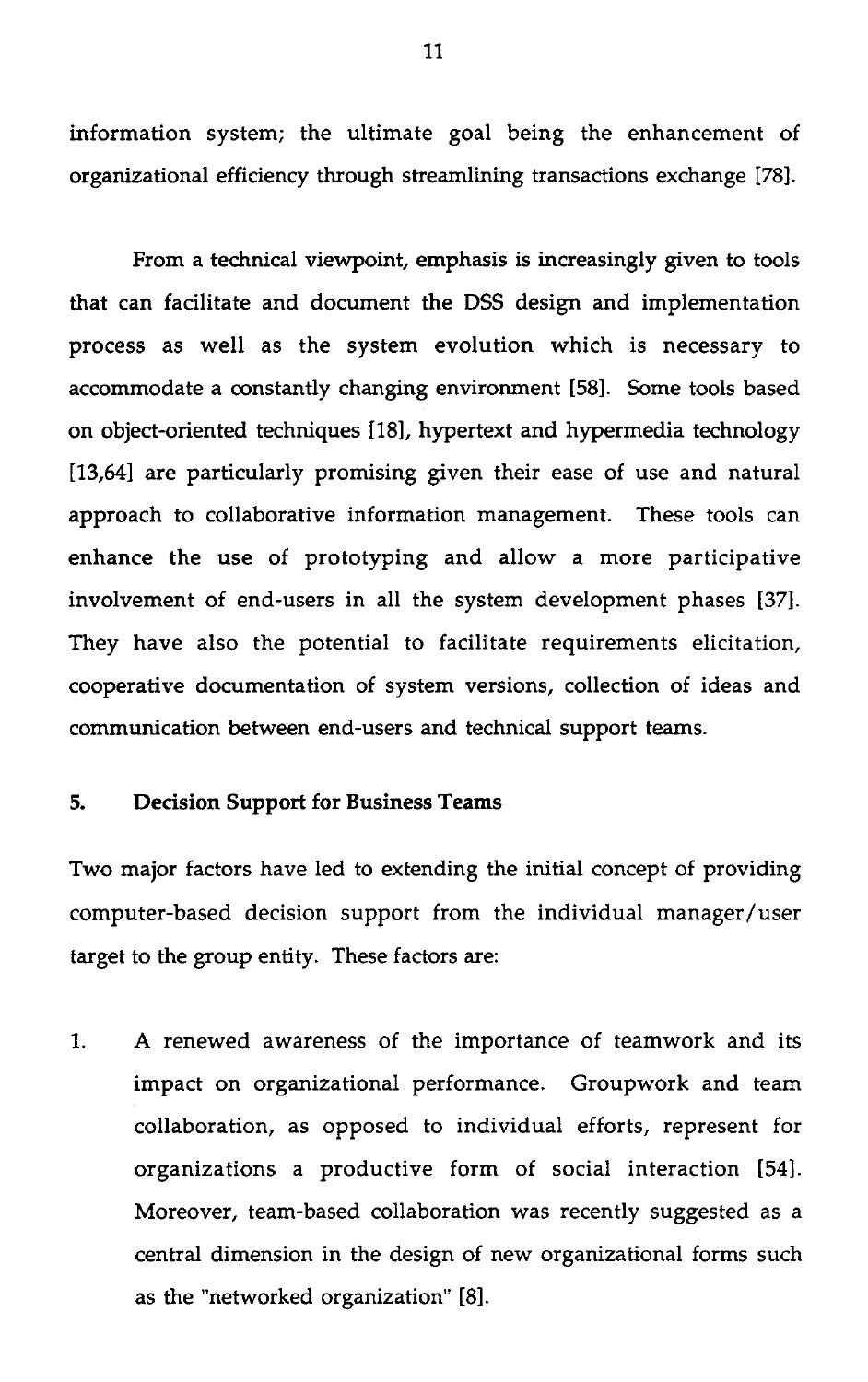information system; the ultimate goal being the enhancement of organizational efficiency through streamlining transactions exchange [78].

From a technical viewpoint, emphasis is increasingly given to tools that can facilitate and document the DSS design and implementation process as well as the system evolution which is necessary to accommodate a constantly changing environment [58]. Some tools based on object-oriented techniques [18], hypertext and hypermedia technology [13,64] are particularly promising given their ease of use and natural approach to collaborative information management. These tools can enhance the use of prototyping and allow a more participative involvement of end-users in all the system development phases [37]. They have also the potential to facilitate requirements elicitation, cooperative documentation of system versions, collection of ideas and communication between end-users and technical support teams. [13,64] are particularly promising given t<br>approach to collaborative information ma<br>enhance the use of prototyping and<br>involvement of end-users in all the syste<br>They have also the potential to facilita<br>cooperative document

Two major factors have led to extending the initial concept of providing computer-based decision support from the individual manager/user target to the group entity. These factors are:

1. A renewed awareness of the importance of teamwork and its impact on organizational performance. Groupwork and team collaboration, as opposed to individual efforts, represent for organizations a productive form of social interaction [54]. Moreover, team-based collaboration was recently suggested as a central dimension in the design of new organizational forms such as the "networked organization" [8].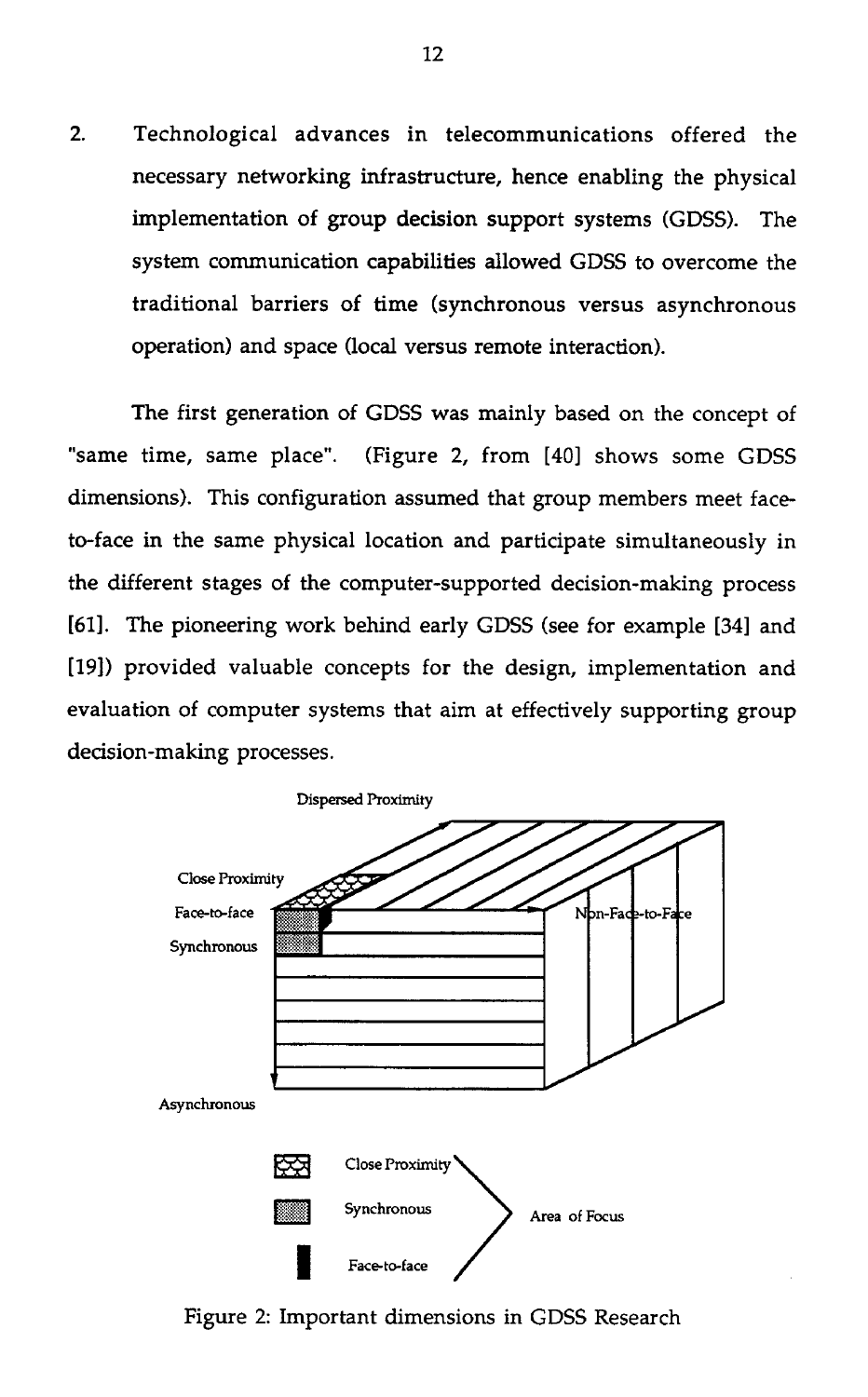2. Technological advances in telecommunications offered the necessary networking infrastructure, hence enabling the physical implementation of group decision support systems (GDSS). The system communication capabilities allowed GDSS to overcome the traditional barriers of time (synchronous versus asynchronous operation) and space (local versus remote interaction).

The first generation of GDSS was mainly based on the concept of "same time, same place". (Figure 2, from [40] shows some GDSS dimensions). This configuration assumed that group members meet faceto-face in the same physical location and participate simultaneously in the different stages of the computer-supported decision-making process [61]. The pioneering work behind early GDSS (see for example [34] and [19]) provided valuable concepts for the design, implementation and evaluation of computer systems that aim at effectively supporting group decision-making processes.



Figure 2: Important dimensions in GDSS Research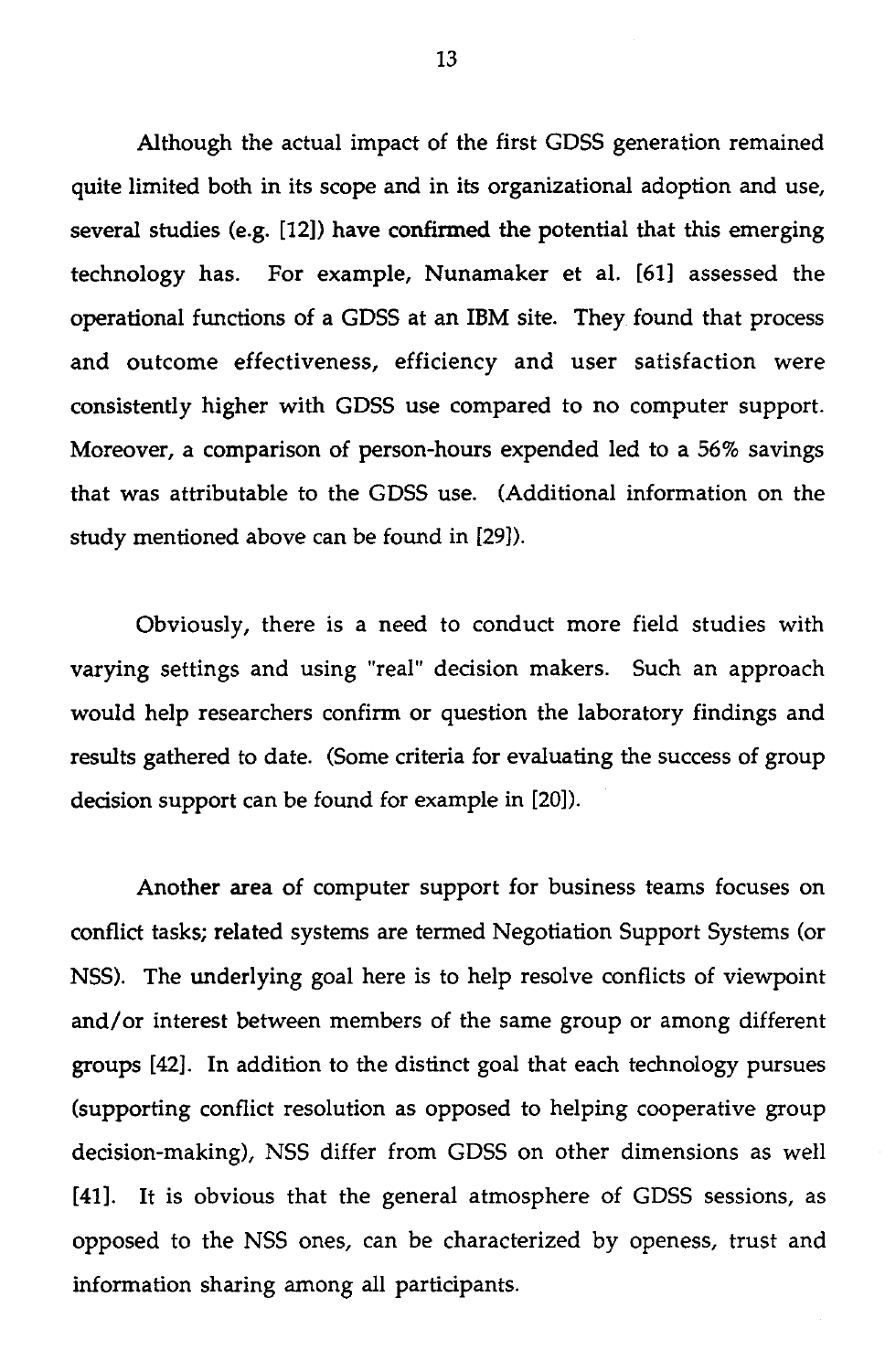Although the actual impact of the first GDSS generation remained quite limited both in its scope and in its organizational adoption and use, several studies (e.g. [12]) have confirmed the potential that this emerging technology has. For example, Nunamaker et al. [61] assessed the operational functions of a GDSS at an IBM site. They found that process and outcome effectiveness, efficiency and user satisfaction were consistently higher with GDSS use compared to no computer support. Moreover, a comparison of person-hours expended led to a 56% savings that was attributable to the GDSS use. (Additional information on the study mentioned above can be found in [29]).

Obviously, there is a need to conduct more field studies with varying settings and using "real" decision makers. Such an approach would help researchers confirm or question the laboratory findings and results gathered to date. (Some criteria for evaluating the success of group decision support can be found for example in [20]).

Another area of computer support for business teams focuses on conflict tasks; related systems are termed Negotiation Support Systems (or NSS). The underlying goal here is to help resolve conflicts of viewpoint and/or interest between members of the same group or among different groups [42]. In addition to the distinct goal that each technology pursues (supporting conflict resolution as opposed to helping cooperative group decision-making), NSS differ from GDSS on other dimensions as well [41]. It is obvious that the general atmosphere of GDSS sessions, as opposed to the NSS ones, can be characterized by openess, trust and information sharing among all participants.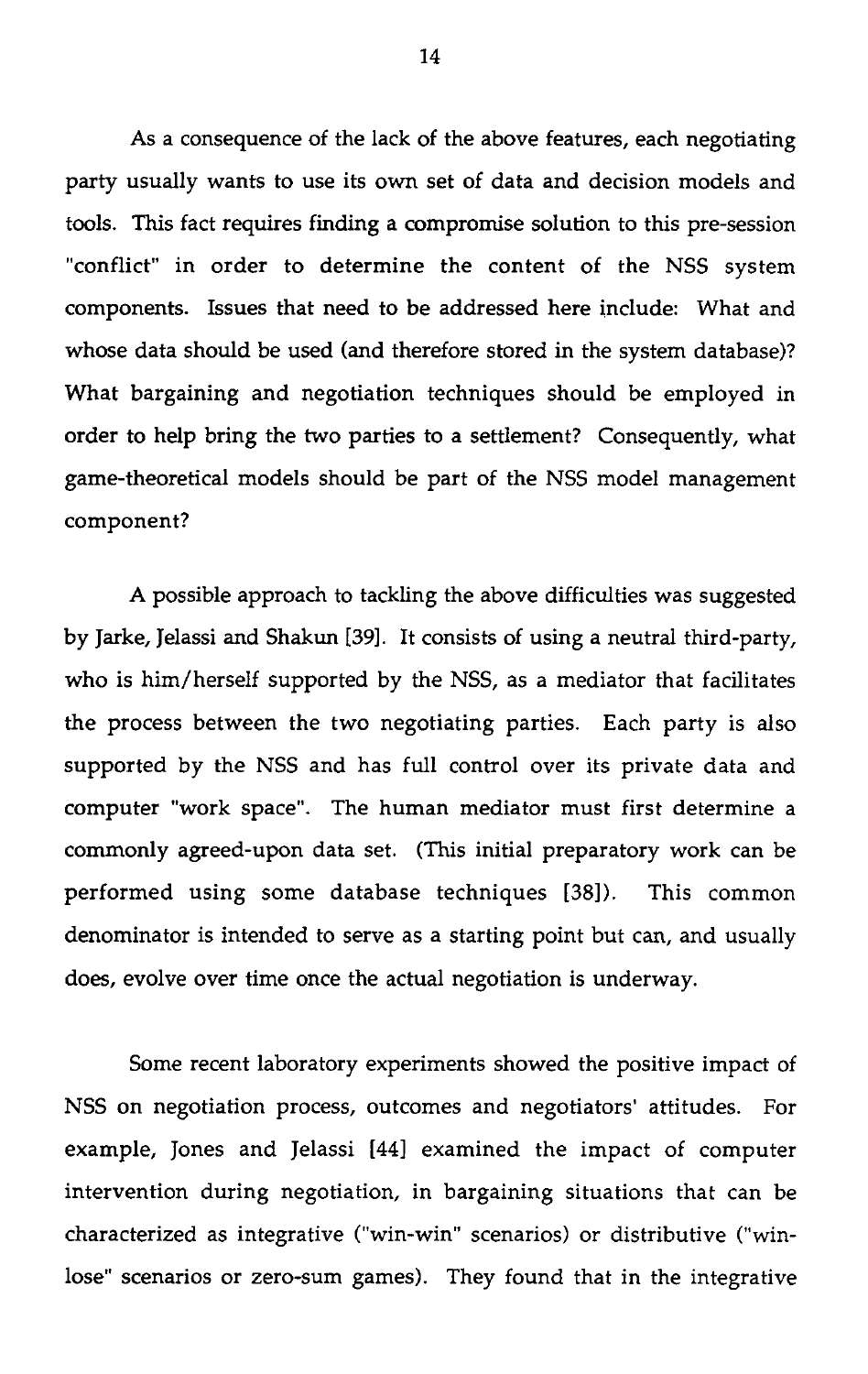As a consequence of the lack of the above features, each negotiating party usually wants to use its own set of data and decision models and tools. This fact requires finding a compromise solution to this pre-session "conflict" in order to determine the content of the NSS system components. Issues that need to be addressed here include: What and whose data should be used (and therefore stored in the system database)? What bargaining and negotiation techniques should be employed in order to help bring the two parties to a settlement? Consequently, what game-theoretical models should be part of the NSS model management component?

A possible approach to tackling the above difficulties was suggested by Jarke, Jelassi and Shakun [39]. It consists of using a neutral third-party, who is him/herself supported by the NSS, as a mediator that facilitates the process between the two negotiating parties. Each party is also supported by the NSS and has full control over its private data and computer "work space". The human mediator must first determine a commonly agreed-upon data set. (This initial preparatory work can be performed using some database techniques [38]). This common denominator is intended to serve as a starting point but can, and usually does, evolve over time once the actual negotiation is underway.

Some recent laboratory experiments showed the positive impact of NSS on negotiation process, outcomes and negotiators' attitudes. For example, Jones and Jelassi [44] examined the impact of computer intervention during negotiation, in bargaining situations that can be characterized as integrative ("win-win" scenarios) or distributive ("winlose" scenarios or zero-sum games). They found that in the integrative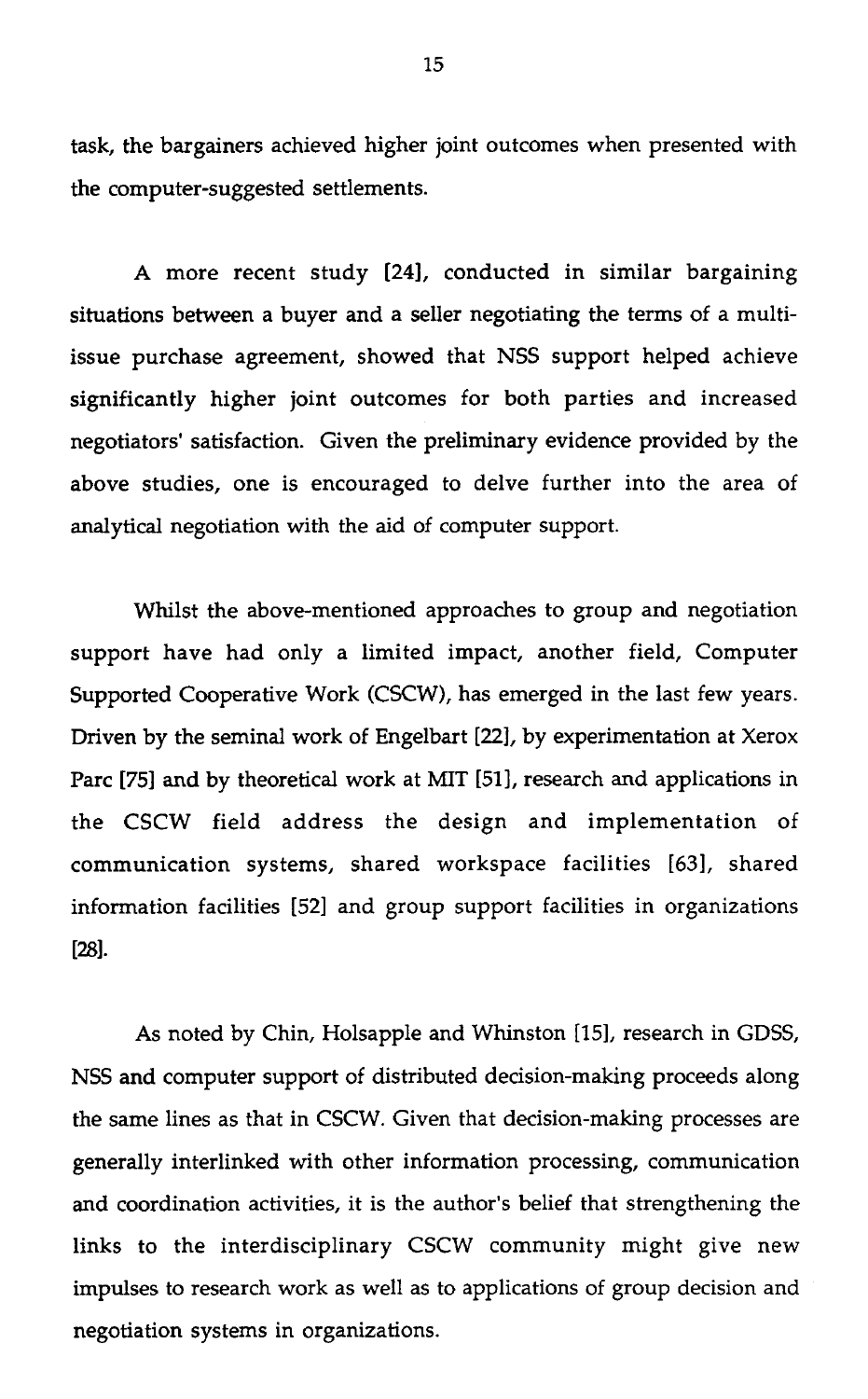task, the bargainers achieved higher joint outcomes when presented with the computer-suggested settlements.

A more recent study [24], conducted in similar bargaining situations between a buyer and a seller negotiating the terms of a multiissue purchase agreement, showed that NSS support helped achieve significantly higher joint outcomes for both parties and increased negotiators' satisfaction. Given the preliminary evidence provided by the above studies, one is encouraged to delve further into the area of analytical negotiation with the aid of computer support.

Whilst the above-mentioned approaches to group and negotiation support have had only a limited impact, another field, Computer Supported Cooperative Work (CSCW), has emerged in the last few years. Driven by the seminal work of Engelbart [22], by experimentation at Xerox Parc [75] and by theoretical work at MIT [51], research and applications in the CSCW field address the design and implementation of communication systems, shared workspace facilities [63], shared information facilities [52] and group support facilities in organizations [28].

As noted by Chin, Holsapple and Whinston [15], research in GDSS, NSS and computer support of distributed decision-making proceeds along the same lines as that in CSCW. Given that decision-making processes are generally interlinked with other information processing, communication and coordination activities, it is the author's belief that strengthening the links to the interdisciplinary CSCW community might give new impulses to research work as well as to applications of group decision and negotiation systems in organizations.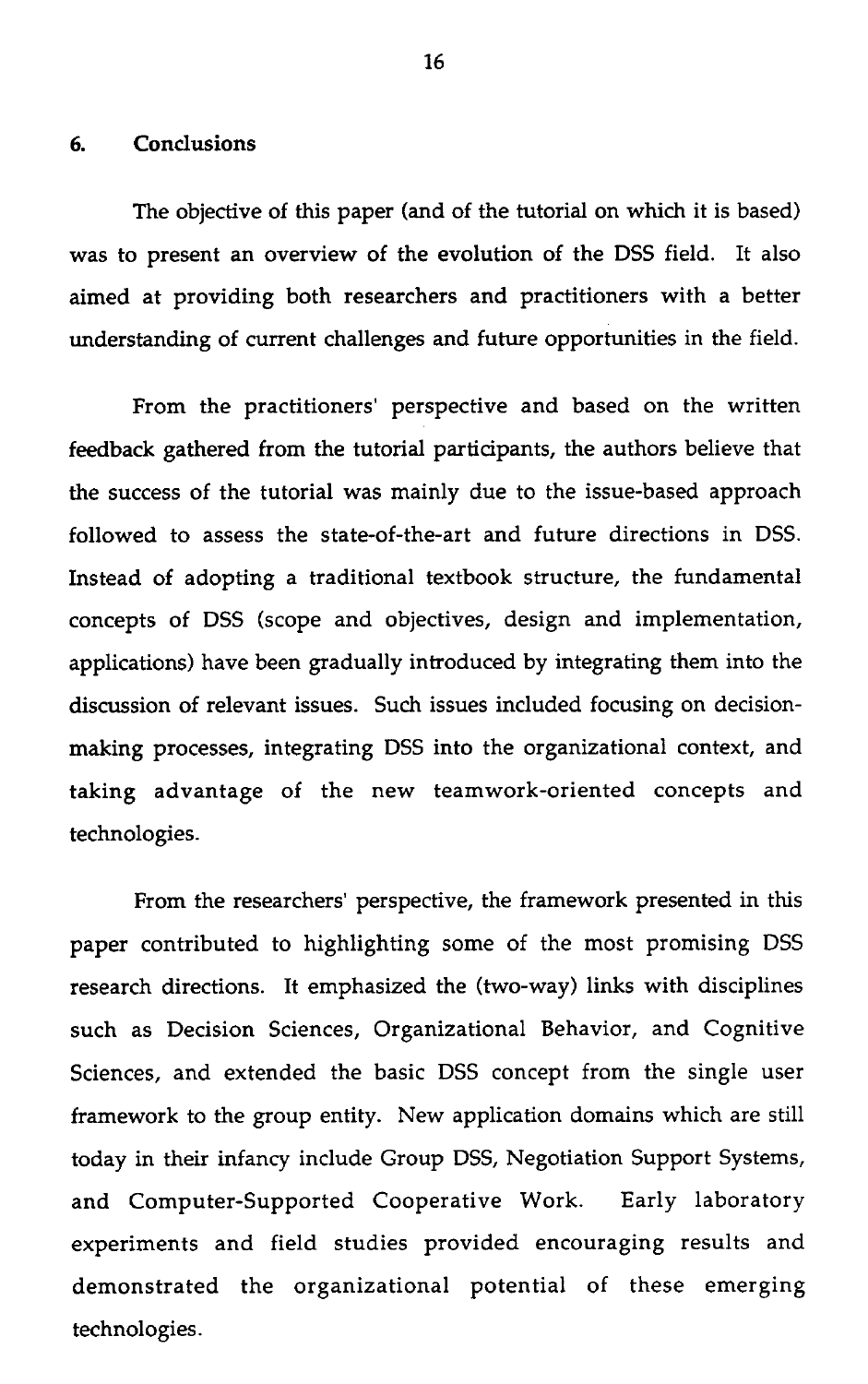**6. Conclusions**<br>The objective

The objective of this paper (and of the tutorial on which it is based) was to present an overview of the evolution of the DSS field. It also aimed at providing both researchers and practitioners with a better understanding of current challenges and future opportunities in the field.

From the practitioners' perspective and based on the written feedback gathered from the tutorial participants, the authors believe that the success of the tutorial was mainly due to the issue-based approach followed to assess the state-of-the-art and future directions in DSS. Instead of adopting a traditional textbook structure, the fundamental concepts of DSS (scope and objectives, design and implementation, applications) have been gradually introduced by integrating them into the discussion of relevant issues. Such issues included focusing on decisionmaking processes, integrating DSS into the organizational context, and taking advantage of the new teamwork-oriented concepts and technologies.

From the researchers' perspective, the framework presented in this paper contributed to highlighting some of the most promising DSS research directions. It emphasized the (two-way) links with disciplines such as Decision Sciences, Organizational Behavior, and Cognitive Sciences, and extended the basic DSS concept from the single user framework to the group entity. New application domains which are still today in their infancy include Group DSS, Negotiation Support Systems, and Computer-Supported Cooperative Work. Early laboratory experiments and field studies provided encouraging results and demonstrated the organizational potential of these emerging technologies.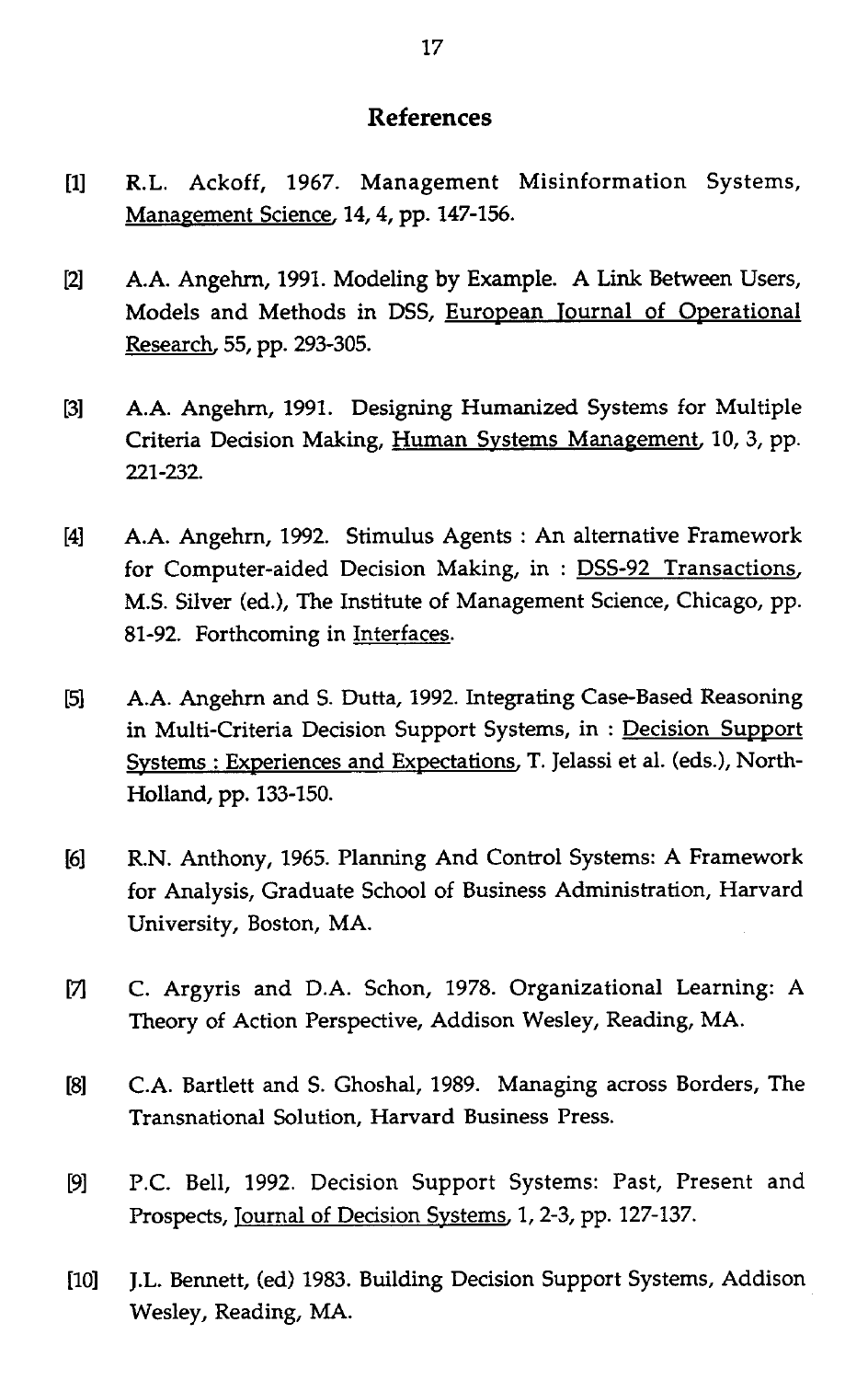## **References**

- [1] R.L. Ackoff, 1967. Management Misinformation Systems, Management Science, 14, 4, pp. 147-156.
- [2] A.A. Angehrn, 1991. Modeling by Example. A Link Between Users, Models and Methods in DSS, European Tournal of Operational Research, 55, pp. 293-305.
- [3] A.A. Angehrn, 1991. Designing Humanized Systems for Multiple Criteria Decision Making, Human Systems Management, 10, 3, pp. 221-232.
- [4] A.A. Angehrn, 1992. Stimulus Agents : An alternative Framework for Computer-aided Decision Making, in : DSS-92 Transactions, M.S. Silver (ed.), The Institute of Management Science, Chicago, pp. 81-92. Forthcoming in Interfaces.
- [5] A.A. Angehrn and S. Dutta, 1992. Integrating Case-Based Reasoning in Multi-Criteria Decision Support Systems, in : Decision Support Systems : Experiences and Expectations, T. Jelassi et al. (eds.), North-Holland, pp. 133-150.
- [6] R.N. Anthony, 1965. Planning And Control Systems: A Framework for Analysis, Graduate School of Business Administration, Harvard University, Boston, MA.
- [7] C. Argyris and D.A. Schon, 1978. Organizational Learning: A Theory of Action Perspective, Addison Wesley, Reading, MA.
- [8] C.A. Bartlett and S. Ghoshal, 1989. Managing across Borders, The Transnational Solution, Harvard Business Press.
- [9] P.C. Bell, 1992. Decision Support Systems: Past, Present and Prospects, Journal of Decision Systems, 1, 2-3, pp. 127-137.
- [10] J.L. Bennett, (ed) 1983. Building Decision Support Systems, Addison Wesley, Reading, MA.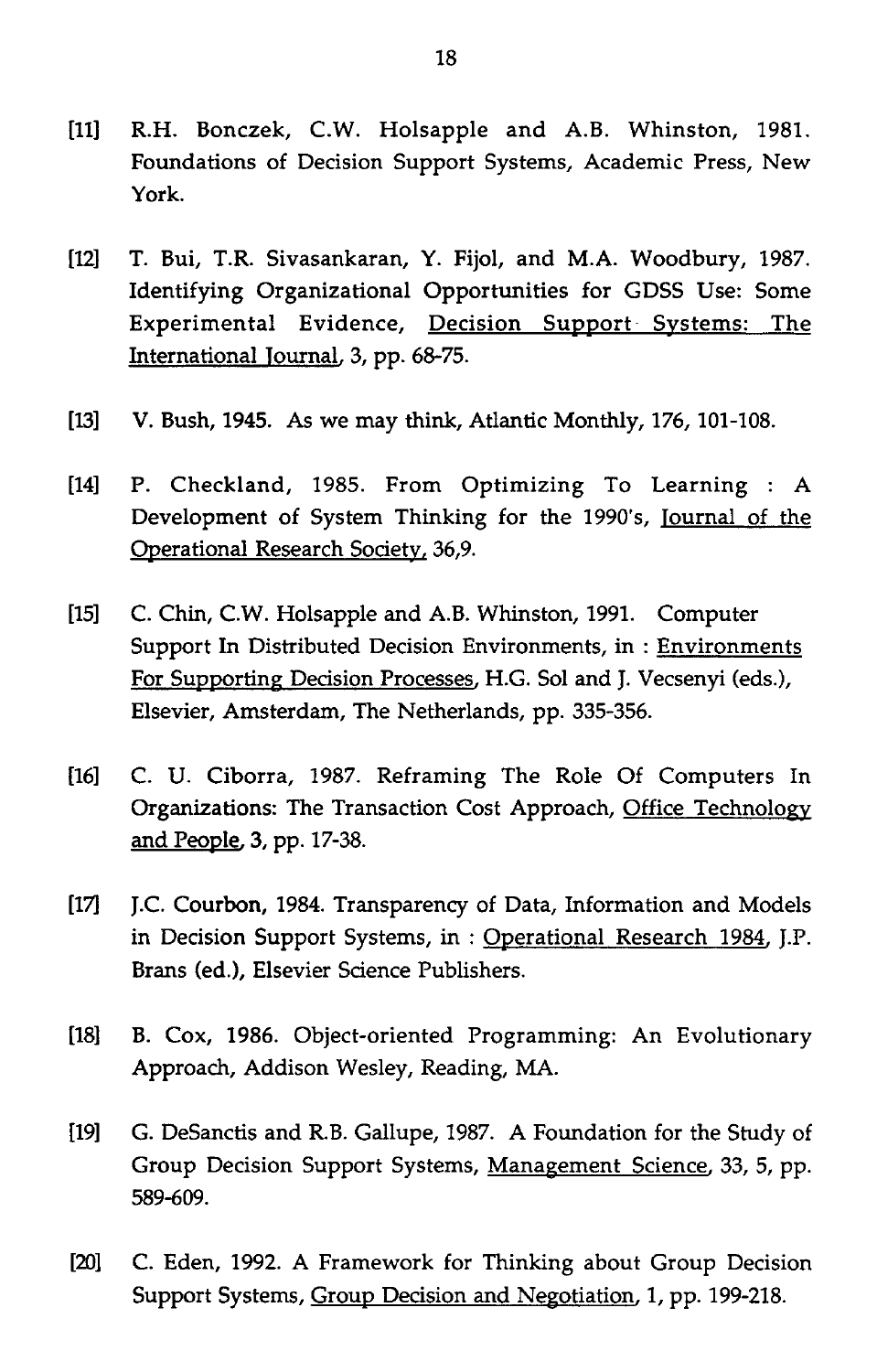- [11] R.H. Bonczek, C.W. Holsapple and A.B. Whinston, 1981. Foundations of Decision Support Systems, Academic Press, New York.
- [12] T. Bui, T.R. Sivasankaran, Y. Fijol, and M.A. Woodbury, 1987. Identifying Organizational Opportunities for GDSS Use: Some Experimental Evidence, Decision Support Systems: The International Journal, 3, pp. 68-75.
- [13] V. Bush, 1945. As we may think, Atlantic Monthly, 176, 101-108.
- [14] P. Checkland, 1985. From Optimizing To Learning : A Development of System Thinking for the 1990's, Journal of the Operational Research Society, 36,9.
- [15] C. Chin, C.W. Holsapple and A.B. Whinston, 1991. Computer Support In Distributed Decision Environments, in : Environments For Supporting Decision Processes, H.G. Sol and J. Vecsenyi (eds.), Elsevier, Amsterdam, The Netherlands, pp. 335-356.
- [16] C. U. Ciborra, 1987. Reframing The Role Of Computers In Organizations: The Transaction Cost Approach, Office Technology and People, 3, pp. 17-38.
- [17] J.C. Courbon, 1984. Transparency of Data, Information and Models in Decision Support Systems, in : Operational Research 1984, J.P. Brans (ed.), Elsevier Science Publishers.
- [18] B. Cox, 1986. Object-oriented Programming: An Evolutionary Approach, Addison Wesley, Reading, MA.
- [19] G. DeSanctis and R.B. Gallupe, 1987. A Foundation for the Study of Group Decision Support Systems, Management Science, 33, 5, pp. 589-609.
- [20] C. Eden, 1992. A Framework for Thinking about Group Decision Support Systems, Group Decision and Negotiation, 1, pp. 199-218.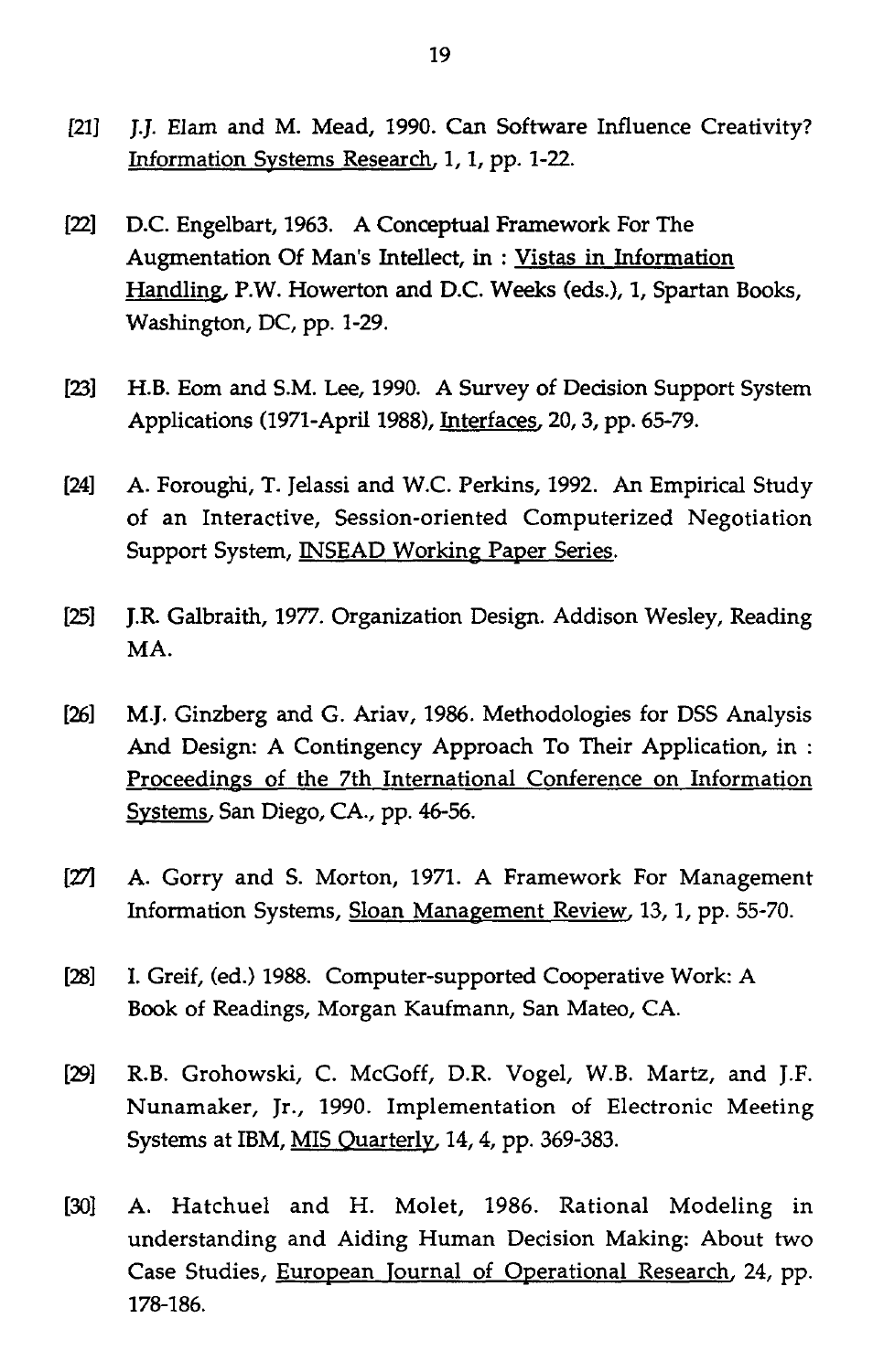- [21] J.J. Elam and M. Mead, 1990. Can Software Influence Creativity? Information Systems Research, 1, 1, pp. 1-22.
- [22] D.C. Engelbart, 1963. A Conceptual Framework For The Augmentation Of Man's Intellect, in : Vistas in Information Handling, P.W. Howerton and D.C. Weeks (eds.), 1, Spartan Books, Washington, DC, pp. 1-29.
- [23] H.B. Eom and S.M. Lee, 1990. A Survey of Decision Support System Applications (1971-April 1988), Interfaces, 20, 3, pp. 65-79.
- [24] A. Foroughi, T. Jelassi and W.C. Perkins, 1992. An Empirical Study of an Interactive, Session-oriented Computerized Negotiation Support System, **INSEAD Working Paper Series.**
- [25] J.R Galbraith, 1977. Organization Design. Addison Wesley, Reading MA.
- [26] M.J. Ginzberg and G. Ariav, 1986. Methodologies for DSS Analysis And Design: A Contingency Approach To Their Application, in : Proceedings of the 7th International Conference on Information Systems, San Diego, CA., pp. 46-56.
- [27] A. Gorry and S. Morton, 1971. A Framework For Management Information Systems, Sloan Management Review, 13, 1, pp. 55-70.
- [28] I. Greif, (ed.) 1988. Computer-supported Cooperative Work: A Book of Readings, Morgan Kaufmann, San Mateo, CA.
- [29] R.B. Grohowski, C. McGoff, D.R. Vogel, W.B. Martz, and J.F. Nunamaker, Jr., 1990. Implementation of Electronic Meeting Systems at IBM, MIS Quarterly, 14, 4, pp. 369-383.
- [30] A. Hatchuel and H. Molet, 1986. Rational Modeling in understanding and Aiding Human Decision Making: About two Case Studies, European Journal of Operational Research, 24, pp. 178-186.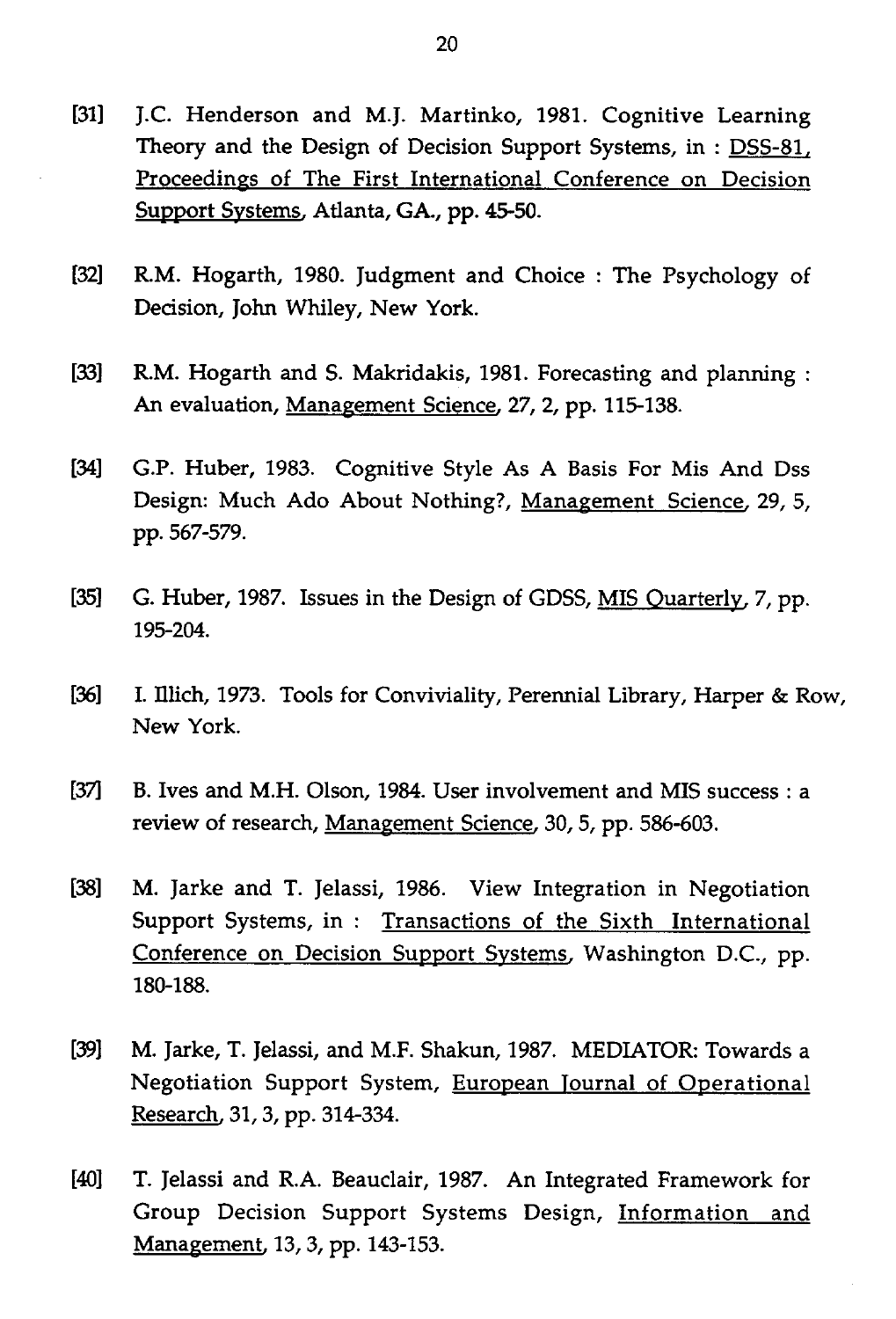- [31] J.C. Henderson and M.J. Martinko, 1981. Cognitive Learning Theory and the Design of Decision Support Systems, in : DSS-81, Proceedings of The First International Conference on Decision Support Systems, Atlanta, GA., pp. 45-50.
- [32] R.M. Hogarth, 1980. Judgment and Choice : The Psychology of Decision, John Whiley, New York.
- [33] R.M. Hogarth and S. Makridakis, 1981. Forecasting and planning : An evaluation, Management Science, 27, 2, pp. 115-138.
- [34] G.P. Huber, 1983. Cognitive Style As A Basis For Mis And Dss Design: Much Ado About Nothing?, Management Science, 29, 5, pp. 567-579.
- [35] G. Huber, 1987. Issues in the Design of GDSS, MIS Quarterly, 7, pp. 195-204.
- [36] I. Illich, 1973. Tools for Conviviality, Perennial Library, Harper & Row, New York.
- [37] B. Ives and M.H. Olson, 1984. User involvement and MIS success : a review of research, Management Science, 30, 5, pp. 586-603.
- [38] M. Jarke and T. Jelassi, 1986. View Integration in Negotiation Support Systems, in : Transactions of the Sixth International Conference on Decision Support Systems, Washington D.C., pp. 180-188.
- [39] M. Jarke, T. Jelassi, and M.F. Shakun, 1987. MEDIATOR: Towards a Negotiation Support System, European Journal of Operational Research, 31, 3, pp. 314-334.
- [40] T. Jelassi and R.A. Beauclair, 1987. An Integrated Framework for Group Decision Support Systems Design, Information and Management, 13, 3, pp. 143-153.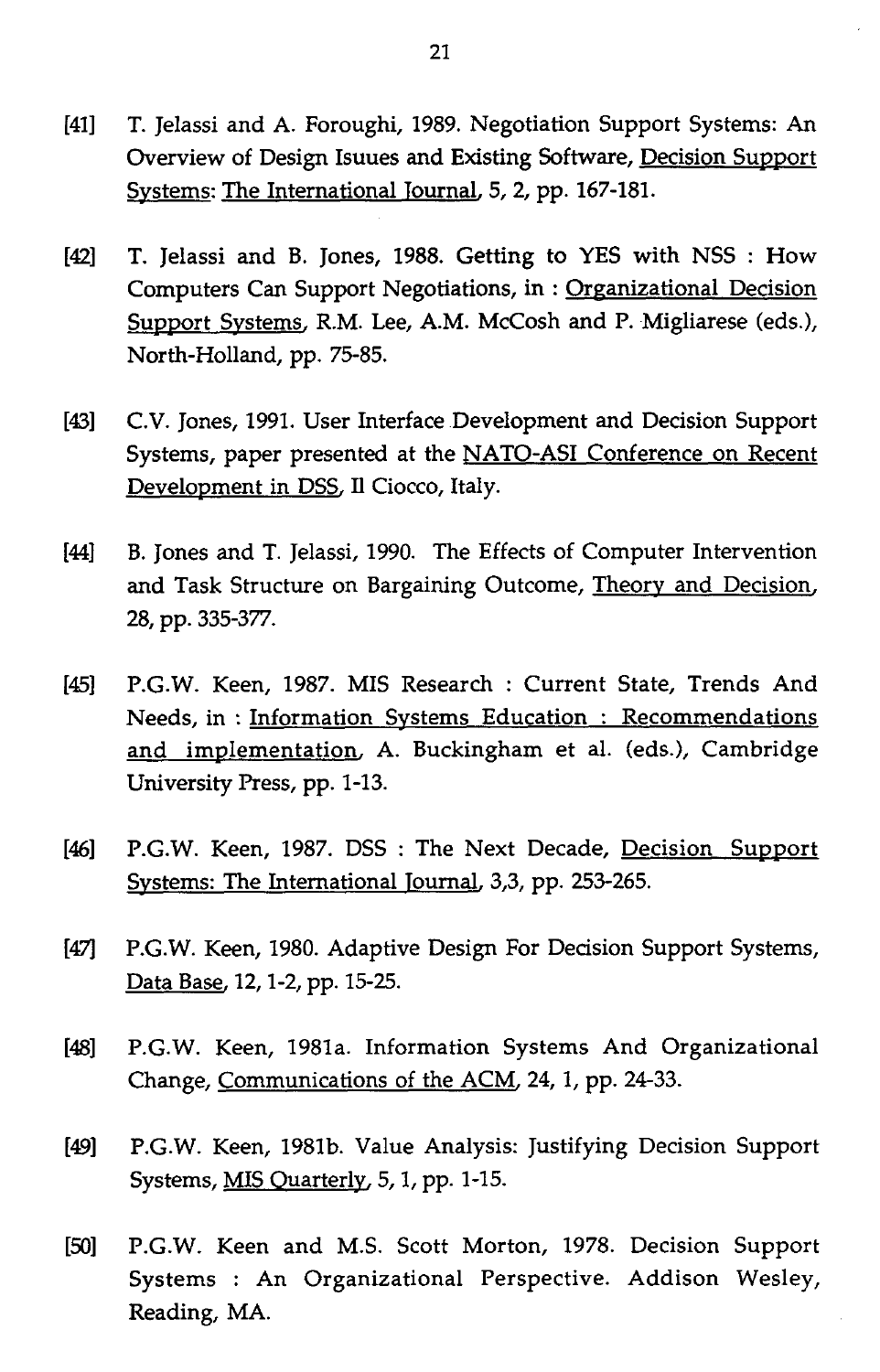- [41] T. Jelassi and A. Foroughi, 1989. Negotiation Support Systems: An Overview of Design Isuues and Existing Software, Decision Support Systems: The International Journal, 5, 2, pp. 167-181.
- [42] T. Jelassi and B. Jones, 1988. Getting to YES with NSS : How Computers Can Support Negotiations, in : Organizational Decision Support Systems, R.M. Lee, A.M. McCosh and P. Migliarese (eds.), North-Holland, pp. 75-85.
- [43] C.V. Jones, 1991. User Interface Development and Decision Support Systems, paper presented at the NATO-ASI Conference on Recent Development in DSS, Il Ciocco, Italy.
- [44] B. Jones and T. Jelassi, 1990. The Effects of Computer Intervention and Task Structure on Bargaining Outcome, Theory and Decision, 28, pp. 335-377.
- [45] P.G.W. Keen, 1987. MIS Research : Current State, Trends And Needs, in : Information Systems Education : Recommendations and implementation, A. Buckingham et al. (eds.), Cambridge University Press, pp. 1-13.
- [46] P.G.W. Keen, 1987. DSS: The Next Decade, Decision Support Systems: The International Journal, 3,3, pp. 253-265.
- [47] P.G.W. Keen, 1980. Adaptive Design For Decision Support Systems, Data Base, 12, 1-2, pp. 15-25.
- [48] P.G.W. Keen, 1981a. Information Systems And Organizational Change, Communications of the ACM, 24, 1, pp. 24-33.
- [49] P.G.W. Keen, 1981b. Value Analysis: Justifying Decision Support Systems, MIS Quarterly, 5, 1, pp. 1-15.
- [50] P.G.W. Keen and M.S. Scott Morton, 1978. Decision Support Systems : An Organizational Perspective. Addison Wesley, Reading, MA.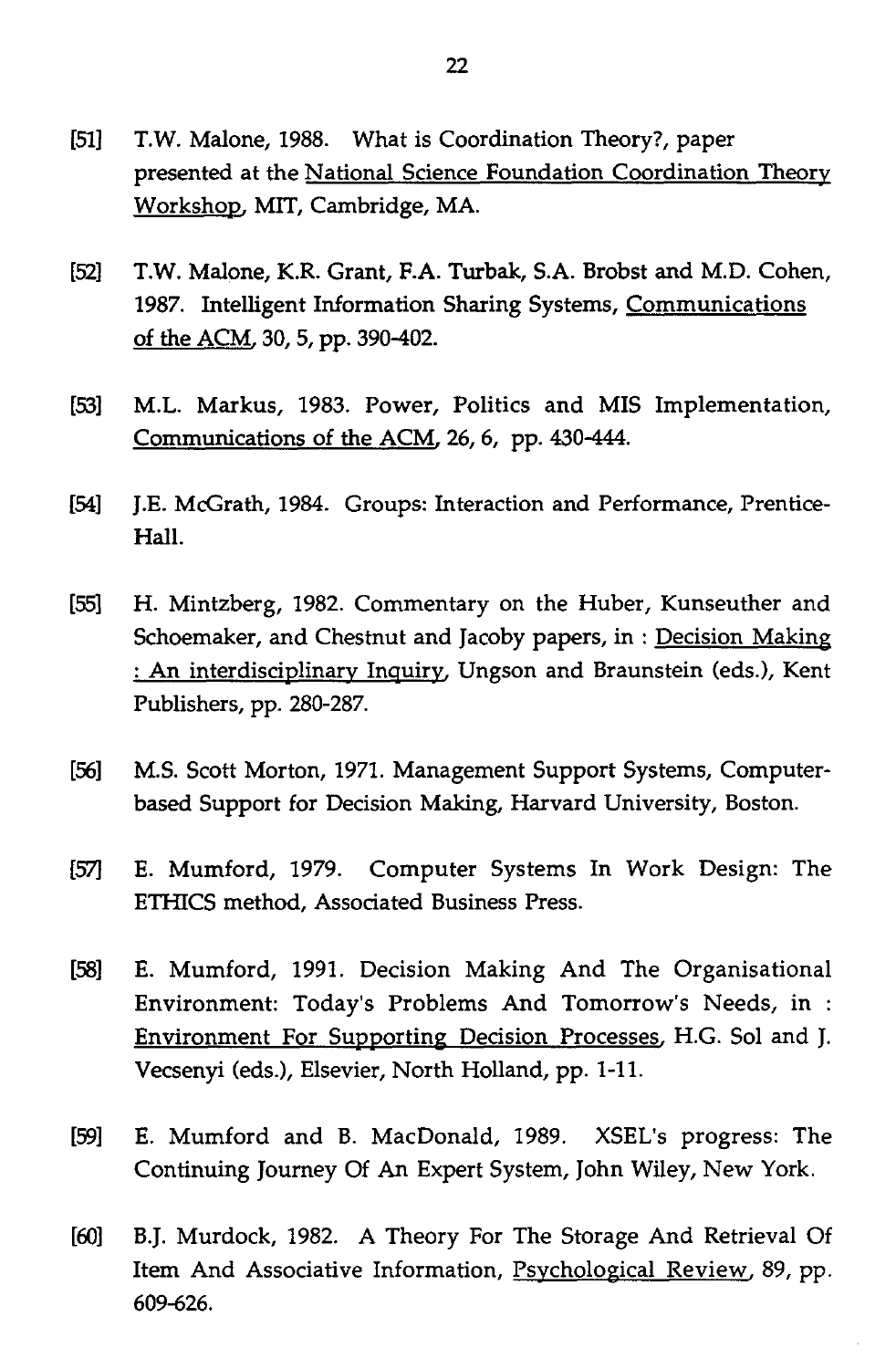- [51] T.W. Malone, 1988. What is Coordination Theory?, paper presented at the National Science Foundation Coordination Theory Workshop, MIT, Cambridge, MA.
- [52] T.W. Malone, K.R. Grant, F.A. Turbak, S.A. Brobst and M.D. Cohen, 1987. Intelligent Information Sharing Systems, Communications of the ACM, 30, 5, pp. 390-402.
- [53] M.L. Markus, 1983. Power, Politics and MIS Implementation, Communications of the ACM, 26, 6, pp. 430-444.
- [54] J.E. McGrath, 1984. Groups: Interaction and Performance, Prentice-Hall.
- [55] H. Mintzberg, 1982. Commentary on the Huber, Kunseuther and Schoemaker, and Chestnut and Jacoby papers, in : Decision Making : An interdisciplinary Inquiry, Ungson and Braunstein (eds.), Kent Publishers, pp. 280-287.
- [56] M.S. Scott Morton, 1971. Management Support Systems, Computerbased Support for Decision Making, Harvard University, Boston.
- [57] E. Mumford, 1979. Computer Systems In Work Design: The ETHICS method, Associated Business Press.
- [58] E. Mumford, 1991. Decision Making And The Organisational Environment: Today's Problems And Tomorrow's Needs, in : Environment For Supporting Decision Processes, H.G. Sol and J. Vecsenyi (eds.), Elsevier, North Holland, pp. 1-11.
- [59] E. Mumford and B. MacDonald, 1989. XSEL's progress: The Continuing Journey Of An Expert System, John Wiley, New York.
- [60] B.J. Murdock, 1982. A Theory For The Storage And Retrieval Of Item And Associative Information, Psychological Review, 89, pp. 609-626.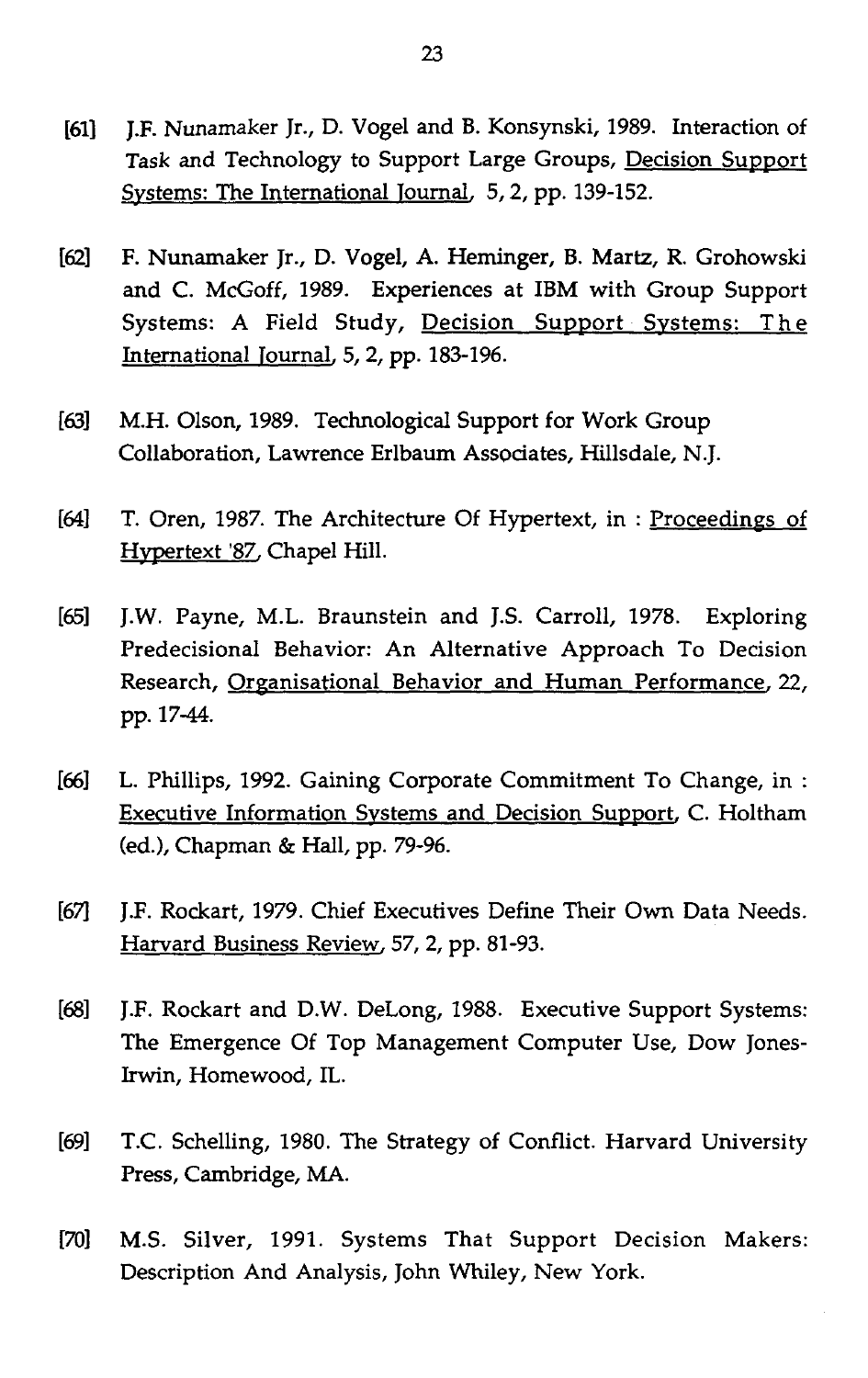- [61] J.F. Nunamaker Jr., D. Vogel and B. Konsynski, 1989. Interaction of Task and Technology to Support Large Groups, Decision Support Systems: The International Journal, 5, 2, pp. 139-152.
- [62] F. Nunamaker Jr., D. Vogel, A. Heminger, B. Martz, R. Grohowski and C. McGoff, 1989. Experiences at IBM with Group Support Systems: A Field Study, Decision Support Systems: The International Journal, 5, 2, pp. 183-196.
- [63] M.H. Olson, 1989. Technological Support for Work Group Collaboration, Lawrence Erlbaum Associates, Hillsdale, N.J.
- [64] T. Oren, 1987. The Architecture Of Hypertext, in : Proceedings of Hypertext '87, Chapel Hill.
- [65] J.W. Payne, M.L. Braunstein and J.S. Carroll, 1978. Exploring Predecisional Behavior: An Alternative Approach To Decision Research, Organisational Behavior and Human Performance, 22, pp. 17-44.
- [66] L. Phillips, 1992. Gaining Corporate Commitment To Change, in : Executive Information Systems and Decision Support, C. Holtham (ed.), Chapman & Hall, pp. 79-96.
- [67] J.F. Rockart, 1979. Chief Executives Define Their Own Data Needs. Harvard Business Review, 57, 2, pp. 81-93.
- [68] J.F. Rockart and D.W. DeLong, 1988. Executive Support Systems: The Emergence Of Top Management Computer Use, Dow Jones-Irwin, Homewood, IL.
- [69] T.C. Schelling, 1980. The Strategy of Conflict. Harvard University Press, Cambridge, MA.
- [70] M.S. Silver, 1991. Systems That Support Decision Makers: Description And Analysis, John Whiley, New York.